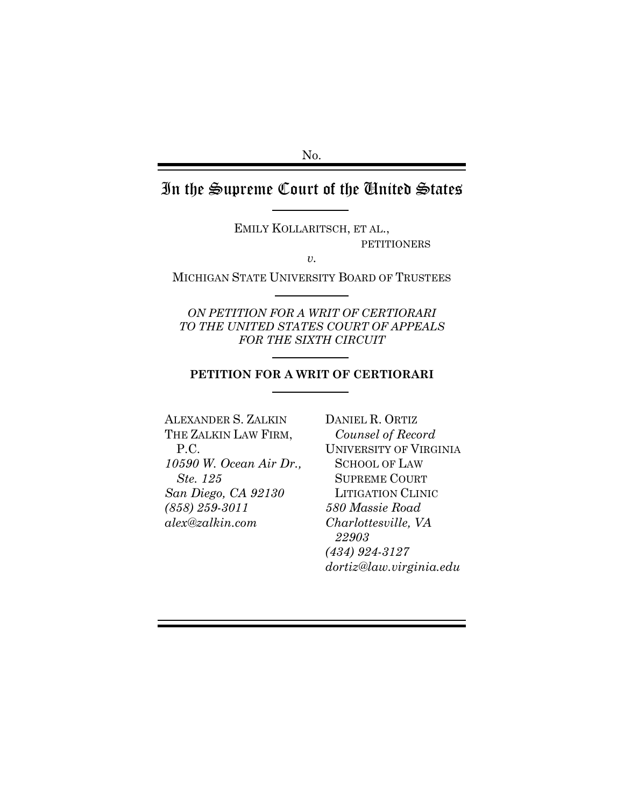No.

# In the Supreme Court of the United States

EMILY KOLLARITSCH, ET AL., PETITIONERS

*v.*

MICHIGAN STATE UNIVERSITY BOARD OF TRUSTEES

*ON PETITION FOR A WRIT OF CERTIORARI TO THE UNITED STATES COURT OF APPEALS FOR THE SIXTH CIRCUIT*

#### **PETITION FOR A WRIT OF CERTIORARI**

ALEXANDER S. ZALKIN THE ZALKIN LAW FIRM, P.C. *10590 W. Ocean Air Dr., Ste. 125 San Diego, CA 92130 (858) 259-3011 alex@zalkin.com*

DANIEL R. ORTIZ *Counsel of Record* UNIVERSITY OF VIRGINIA SCHOOL OF LAW SUPREME COURT LITIGATION CLINIC *580 Massie Road Charlottesville, VA 22903 (434) 924-3127 dortiz@law.virginia.edu*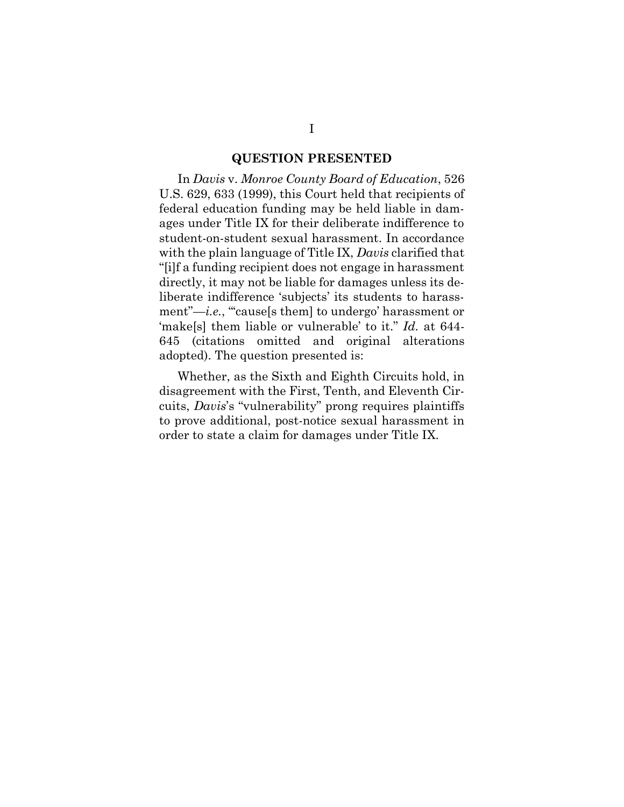#### **QUESTION PRESENTED**

In *Davis* v. *Monroe County Board of Education*, 526 U.S. 629, 633 (1999), this Court held that recipients of federal education funding may be held liable in damages under Title IX for their deliberate indifference to student-on-student sexual harassment. In accordance with the plain language of Title IX, *Davis* clarified that "[i]f a funding recipient does not engage in harassment directly, it may not be liable for damages unless its deliberate indifference 'subjects' its students to harassment"-*i.e.*, "cause[s them] to undergo' harassment or 'make[s] them liable or vulnerable' to it." *Id.* at 644- 645 (citations omitted and original alterations adopted). The question presented is:

Whether, as the Sixth and Eighth Circuits hold, in disagreement with the First, Tenth, and Eleventh Circuits, *Davis*'s "vulnerability" prong requires plaintiffs to prove additional, post-notice sexual harassment in order to state a claim for damages under Title IX.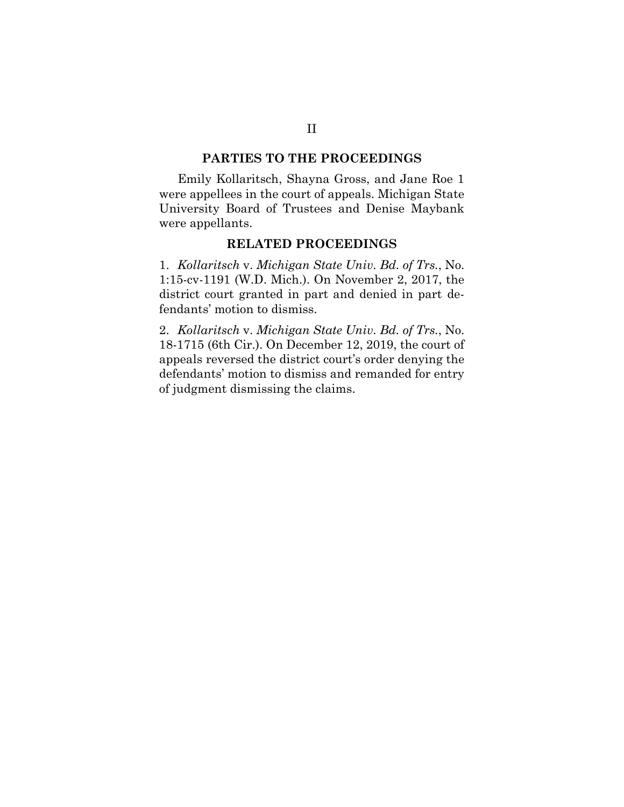### **PARTIES TO THE PROCEEDINGS**

Emily Kollaritsch, Shayna Gross, and Jane Roe 1 were appellees in the court of appeals. Michigan State University Board of Trustees and Denise Maybank were appellants.

#### **RELATED PROCEEDINGS**

1. *Kollaritsch* v. *Michigan State Univ. Bd. of Trs.*, No. 1:15-cv-1191 (W.D. Mich.). On November 2, 2017, the district court granted in part and denied in part defendants' motion to dismiss.

2. *Kollaritsch* v. *Michigan State Univ. Bd. of Trs.*, No. 18-1715 (6th Cir.). On December 12, 2019, the court of appeals reversed the district court's order denying the defendants' motion to dismiss and remanded for entry of judgment dismissing the claims.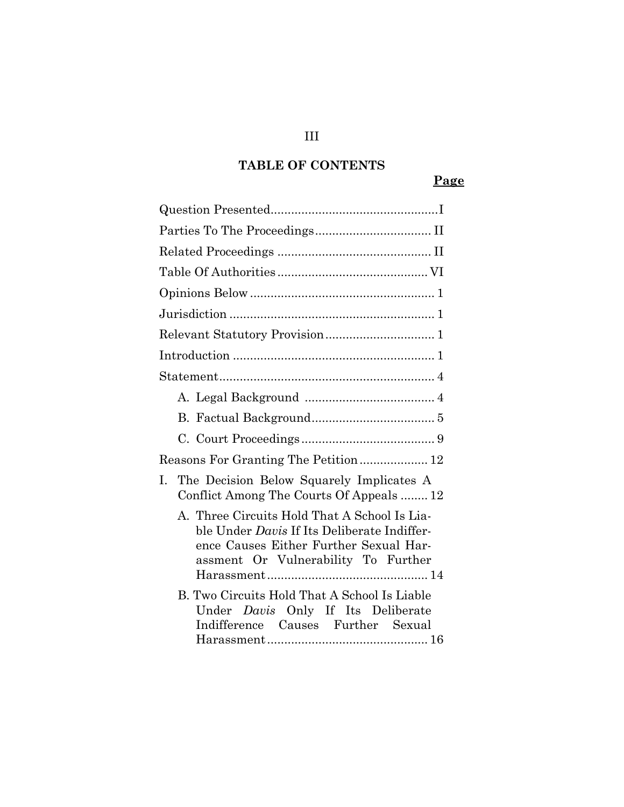## **TABLE OF CONTENTS**

## **Page**

| Reasons For Granting The Petition 12                                                                                                                                         |
|------------------------------------------------------------------------------------------------------------------------------------------------------------------------------|
| The Decision Below Squarely Implicates A<br>I.<br>Conflict Among The Courts Of Appeals  12                                                                                   |
| A. Three Circuits Hold That A School Is Lia-<br>ble Under Davis If Its Deliberate Indiffer-<br>ence Causes Either Further Sexual Har-<br>assment Or Vulnerability To Further |
| B. Two Circuits Hold That A School Is Liable<br>Under Davis Only If Its Deliberate<br>Indifference Causes Further Sexual                                                     |

## III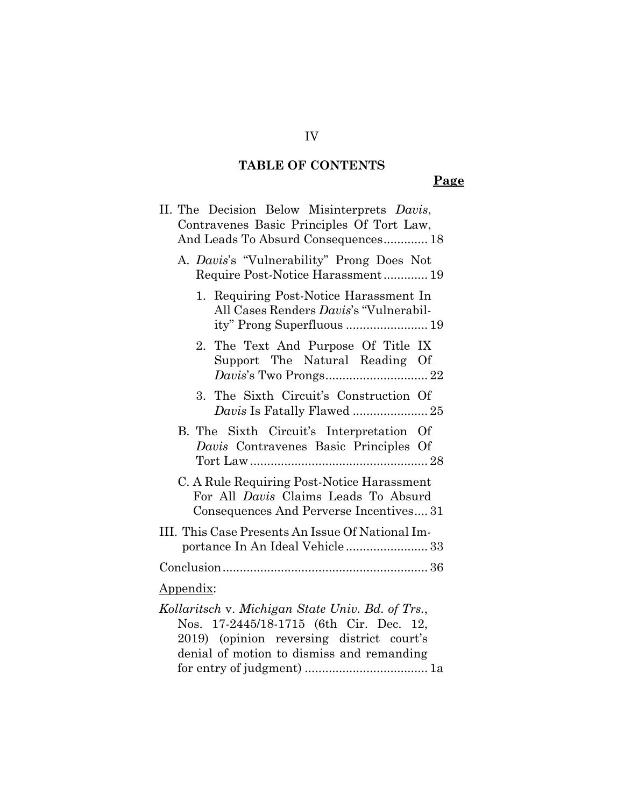## **TABLE OF CONTENTS**

IV

## **Page**

| II. The Decision Below Misinterprets Davis,                                                                                                                                           |
|---------------------------------------------------------------------------------------------------------------------------------------------------------------------------------------|
| Contravenes Basic Principles Of Tort Law,<br>And Leads To Absurd Consequences 18                                                                                                      |
| A. Davis's "Vulnerability" Prong Does Not<br>Require Post-Notice Harassment 19                                                                                                        |
| 1. Requiring Post-Notice Harassment In<br>All Cases Renders Davis's "Vulnerabil-<br>ity" Prong Superfluous  19                                                                        |
| 2. The Text And Purpose Of Title IX<br>Support The Natural Reading Of                                                                                                                 |
| 3. The Sixth Circuit's Construction Of                                                                                                                                                |
| B. The Sixth Circuit's Interpretation Of<br>Davis Contravenes Basic Principles Of                                                                                                     |
| C. A Rule Requiring Post-Notice Harassment<br>For All Davis Claims Leads To Absurd<br>Consequences And Perverse Incentives 31                                                         |
| III. This Case Presents An Issue Of National Im-<br>portance In An Ideal Vehicle 33                                                                                                   |
|                                                                                                                                                                                       |
| <u>Appendix:</u>                                                                                                                                                                      |
| Kollaritsch v. Michigan State Univ. Bd. of Trs.,<br>Nos. 17-2445/18-1715 (6th Cir. Dec. 12,<br>2019) (opinion reversing district court's<br>denial of motion to dismiss and remanding |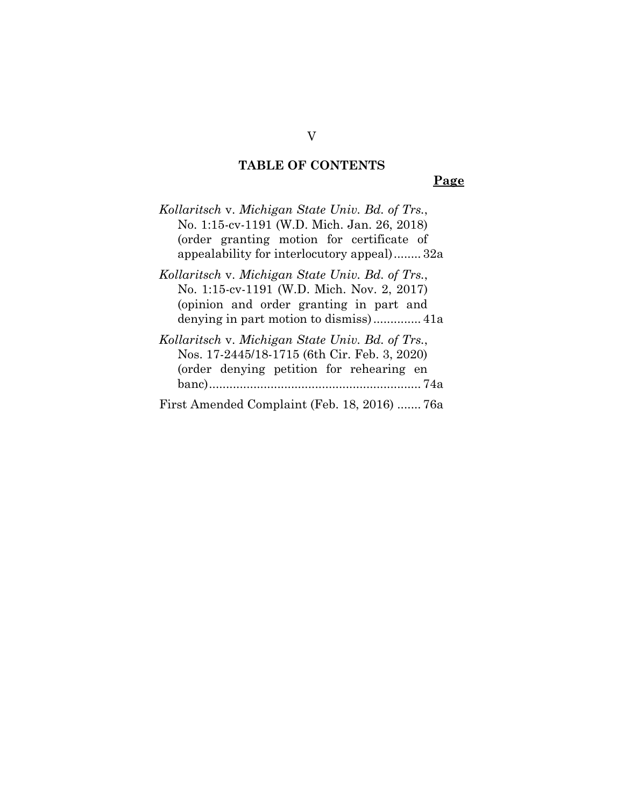## **TABLE OF CONTENTS**

**Page**

| Kollaritsch v. Michigan State Univ. Bd. of Trs.,<br>No. 1:15-cv-1191 (W.D. Mich. Jan. 26, 2018)<br>(order granting motion for certificate of<br>appealability for interlocutory appeal)32a |
|--------------------------------------------------------------------------------------------------------------------------------------------------------------------------------------------|
| Kollaritsch v. Michigan State Univ. Bd. of Trs.,<br>No. 1:15-cv-1191 (W.D. Mich. Nov. 2, 2017)<br>(opinion and order granting in part and                                                  |
| Kollaritsch v. Michigan State Univ. Bd. of Trs.,<br>Nos. 17-2445/18-1715 (6th Cir. Feb. 3, 2020)<br>(order denying petition for rehearing en                                               |
| First Amended Complaint (Feb. 18, 2016)  76a                                                                                                                                               |

V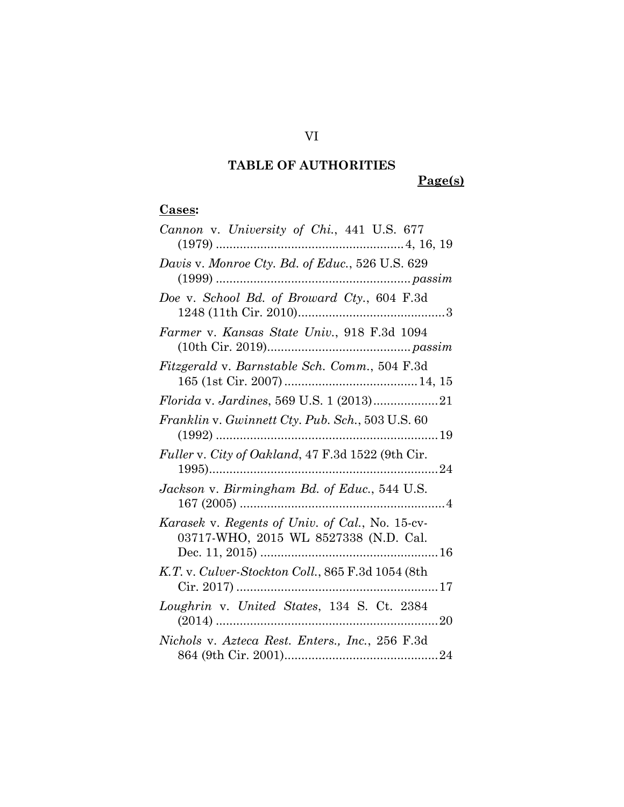**Page(s)**

## **Cases:**

| Cannon v. University of Chi., 441 U.S. 677                                               |
|------------------------------------------------------------------------------------------|
| Davis v. Monroe Cty. Bd. of Educ., 526 U.S. 629                                          |
| Doe v. School Bd. of Broward Cty., 604 F.3d                                              |
| Farmer v. Kansas State Univ., 918 F.3d 1094                                              |
| Fitzgerald v. Barnstable Sch. Comm., 504 F.3d                                            |
| Florida v. Jardines, 569 U.S. 1 (2013)21                                                 |
| Franklin v. Gwinnett Cty. Pub. Sch., 503 U.S. 60                                         |
| Fuller v. City of Oakland, 47 F.3d 1522 (9th Cir.                                        |
| Jackson v. Birmingham Bd. of Educ., 544 U.S.                                             |
| Karasek v. Regents of Univ. of Cal., No. 15-cv-<br>03717-WHO, 2015 WL 8527338 (N.D. Cal. |
| K.T. v. Culver-Stockton Coll., 865 F.3d 1054 (8th                                        |
| Loughrin v. United States, 134 S. Ct. 2384                                               |
| Nichols v. Azteca Rest. Enters., Inc., 256 F.3d                                          |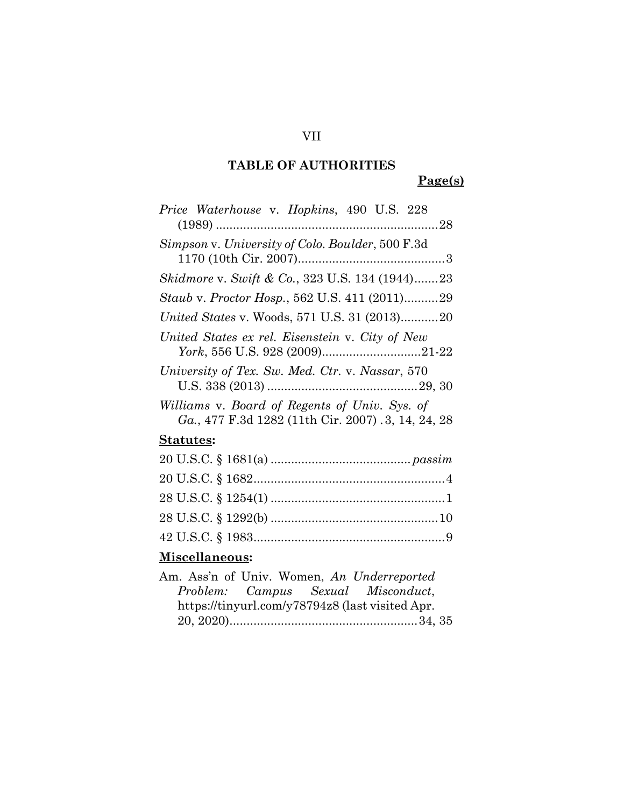**Page(s)**

| Price Waterhouse v. Hopkins, 490 U.S. 228                                                           |
|-----------------------------------------------------------------------------------------------------|
| Simpson v. University of Colo. Boulder, 500 F.3d                                                    |
| <i>Skidmore v. Swift &amp; Co.</i> , 323 U.S. 134 (1944)23                                          |
| Staub v. Proctor Hosp., 562 U.S. 411 (2011)29                                                       |
| United States v. Woods, 571 U.S. 31 (2013)20                                                        |
| United States ex rel. Eisenstein v. City of New                                                     |
| University of Tex. Sw. Med. Ctr. v. Nassar, 570                                                     |
| Williams v. Board of Regents of Univ. Sys. of<br>Ga., 477 F.3d 1282 (11th Cir. 2007) .3, 14, 24, 28 |
| <u>Statutes</u> :                                                                                   |
|                                                                                                     |
|                                                                                                     |
|                                                                                                     |
|                                                                                                     |
|                                                                                                     |
|                                                                                                     |

## **Miscellaneous:**

|  | Am. Ass'n of Univ. Women, An Underreported      |  |
|--|-------------------------------------------------|--|
|  | Problem: Campus Sexual Misconduct,              |  |
|  | https://tinyurl.com/y78794z8 (last visited Apr. |  |
|  |                                                 |  |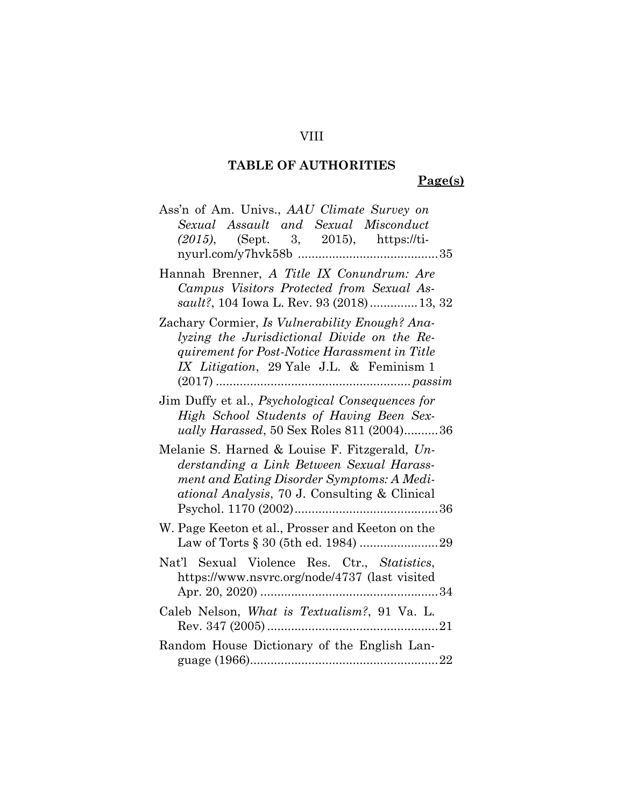**Page(s)**

| Ass'n of Am. Univs., AAU Climate Survey on                                                                                                                                                |
|-------------------------------------------------------------------------------------------------------------------------------------------------------------------------------------------|
| Sexual Assault and Sexual Misconduct                                                                                                                                                      |
| (2015), (Sept. 3, 2015), https://ti-                                                                                                                                                      |
|                                                                                                                                                                                           |
| Hannah Brenner, A Title IX Conundrum: Are                                                                                                                                                 |
| Campus Visitors Protected from Sexual As-                                                                                                                                                 |
| sault?, 104 Iowa L. Rev. 93 (2018)13, 32                                                                                                                                                  |
| Zachary Cormier, Is Vulnerability Enough? Ana-                                                                                                                                            |
| lyzing the Jurisdictional Divide on the Re-                                                                                                                                               |
| quirement for Post-Notice Harassment in Title                                                                                                                                             |
| IX Litigation, 29 Yale J.L. & Feminism 1                                                                                                                                                  |
|                                                                                                                                                                                           |
| Jim Duffy et al., Psychological Consequences for                                                                                                                                          |
| High School Students of Having Been Sex-                                                                                                                                                  |
| ually Harassed, 50 Sex Roles 811 (2004)36                                                                                                                                                 |
| Melanie S. Harned & Louise F. Fitzgerald, Un-<br>derstanding a Link Between Sexual Harass-<br>ment and Eating Disorder Symptoms: A Medi-<br>ational Analysis, 70 J. Consulting & Clinical |
| W. Page Keeton et al., Prosser and Keeton on the                                                                                                                                          |
| Nat'l Sexual Violence Res. Ctr., Statistics,<br>https://www.nsvrc.org/node/4737 (last visited                                                                                             |
| Caleb Nelson, What is Textualism?, 91 Va. L.                                                                                                                                              |
| Random House Dictionary of the English Lan-                                                                                                                                               |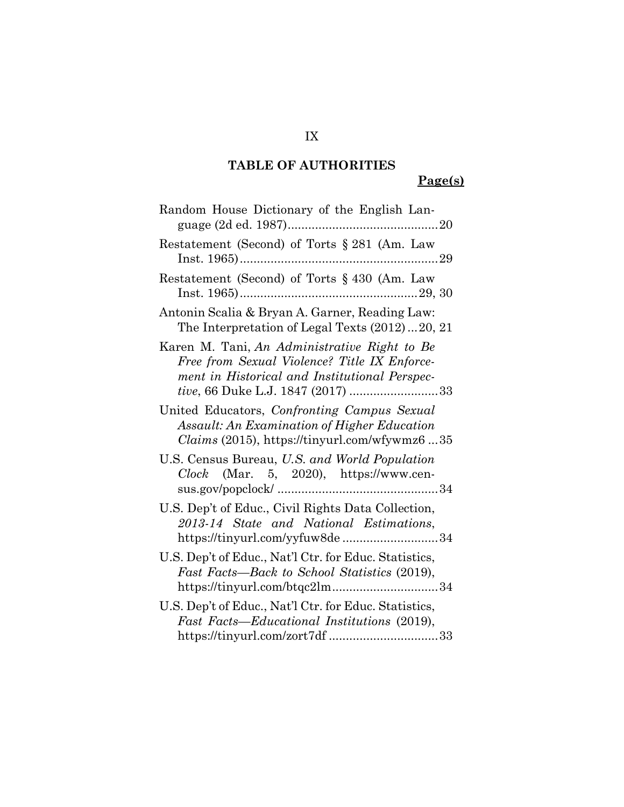## **Page(s)**

| Random House Dictionary of the English Lan-                                                                                                                                                |
|--------------------------------------------------------------------------------------------------------------------------------------------------------------------------------------------|
| Restatement (Second) of Torts § 281 (Am. Law                                                                                                                                               |
| Restatement (Second) of Torts § 430 (Am. Law                                                                                                                                               |
| Antonin Scalia & Bryan A. Garner, Reading Law:<br>The Interpretation of Legal Texts (2012)20, 21                                                                                           |
| Karen M. Tani, An Administrative Right to Be<br>Free from Sexual Violence? Title IX Enforce-<br>ment in Historical and Institutional Perspec-<br><i>tive</i> , 66 Duke L.J. 1847 (2017) 33 |
| United Educators, Confronting Campus Sexual<br>Assault: An Examination of Higher Education<br>$Clains (2015)$ , https://tinyurl.com/wfywmz635                                              |
| U.S. Census Bureau, U.S. and World Population<br>$Clock$ (Mar. 5, 2020), https://www.cen-                                                                                                  |
| U.S. Dep't of Educ., Civil Rights Data Collection,<br>2013-14 State and National Estimations,<br>https://tinyurl.com/yyfuw8de34                                                            |
| U.S. Dep't of Educ., Nat'l Ctr. for Educ. Statistics,<br>Fast Facts—Back to School Statistics (2019),<br>https://tinyurl.com/btqc2lm34                                                     |
| U.S. Dep't of Educ., Nat'l Ctr. for Educ. Statistics,<br>Fast Facts—Educational Institutions (2019),                                                                                       |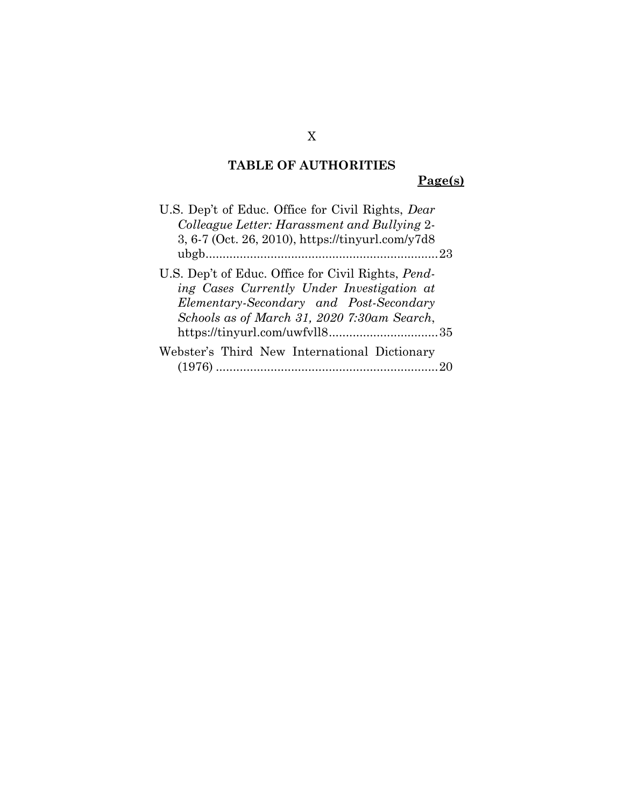**Page(s)**

| U.S. Dep't of Educ. Office for Civil Rights, <i>Dear</i>                                                                                            |
|-----------------------------------------------------------------------------------------------------------------------------------------------------|
| Colleague Letter: Harassment and Bullying 2-                                                                                                        |
| 3, 6-7 (Oct. 26, 2010), https://tinyurl.com/y7d8                                                                                                    |
|                                                                                                                                                     |
| U.S. Dep't of Educ. Office for Civil Rights, <i>Pend</i> -<br>ing Cases Currently Under Investigation at<br>Elementary-Secondary and Post-Secondary |
| Schools as of March 31, 2020 7:30am Search,                                                                                                         |
| https://tinyurl.com/uwfvll835                                                                                                                       |
| Webster's Third New International Dictionary                                                                                                        |
|                                                                                                                                                     |

X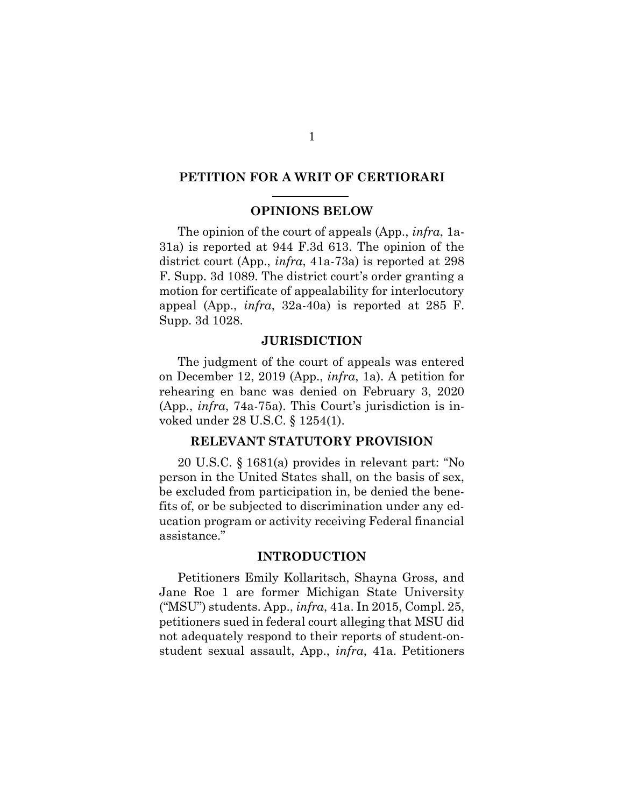### **PETITION FOR A WRIT OF CERTIORARI**

#### **OPINIONS BELOW**

The opinion of the court of appeals (App., *infra*, 1a-31a) is reported at 944 F.3d 613. The opinion of the district court (App., *infra*, 41a-73a) is reported at 298 F. Supp. 3d 1089. The district court's order granting a motion for certificate of appealability for interlocutory appeal (App., *infra*, 32a-40a) is reported at 285 F. Supp. 3d 1028.

#### **JURISDICTION**

The judgment of the court of appeals was entered on December 12, 2019 (App., *infra*, 1a). A petition for rehearing en banc was denied on February 3, 2020 (App., *infra*, 74a-75a). This Court's jurisdiction is invoked under 28 U.S.C. § 1254(1).

#### **RELEVANT STATUTORY PROVISION**

20 U.S.C. § 1681(a) provides in relevant part: "No person in the United States shall, on the basis of sex, be excluded from participation in, be denied the benefits of, or be subjected to discrimination under any education program or activity receiving Federal financial assistance."

#### **INTRODUCTION**

Petitioners Emily Kollaritsch, Shayna Gross, and Jane Roe 1 are former Michigan State University ("MSU") students. App., *infra*, 41a. In 2015, Compl. 25, petitioners sued in federal court alleging that MSU did not adequately respond to their reports of student-onstudent sexual assault, App., *infra*, 41a. Petitioners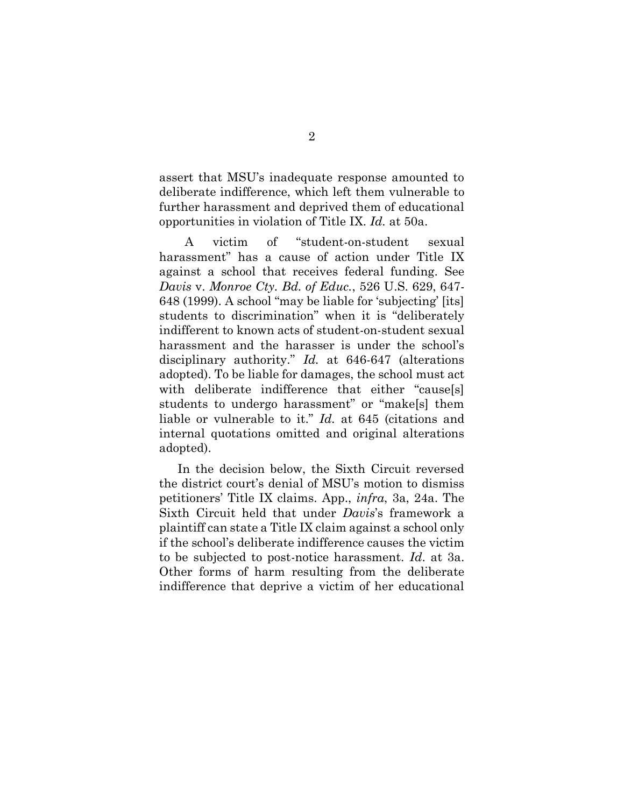assert that MSU's inadequate response amounted to deliberate indifference, which left them vulnerable to further harassment and deprived them of educational opportunities in violation of Title IX. *Id.* at 50a.

A victim of "student-on-student sexual harassment" has a cause of action under Title IX against a school that receives federal funding. See *Davis* v. *Monroe Cty. Bd. of Educ.*, 526 U.S. 629, 647- 648 (1999). A school "may be liable for 'subjecting' [its] students to discrimination" when it is "deliberately indifferent to known acts of student-on-student sexual harassment and the harasser is under the school's disciplinary authority." *Id.* at 646-647 (alterations adopted). To be liable for damages, the school must act with deliberate indifference that either "cause[s] students to undergo harassment" or "make[s] them liable or vulnerable to it." *Id.* at 645 (citations and internal quotations omitted and original alterations adopted).

In the decision below, the Sixth Circuit reversed the district court's denial of MSU's motion to dismiss petitioners' Title IX claims. App., *infra*, 3a, 24a. The Sixth Circuit held that under *Davis*'s framework a plaintiff can state a Title IX claim against a school only if the school's deliberate indifference causes the victim to be subjected to post-notice harassment. *Id*. at 3a. Other forms of harm resulting from the deliberate indifference that deprive a victim of her educational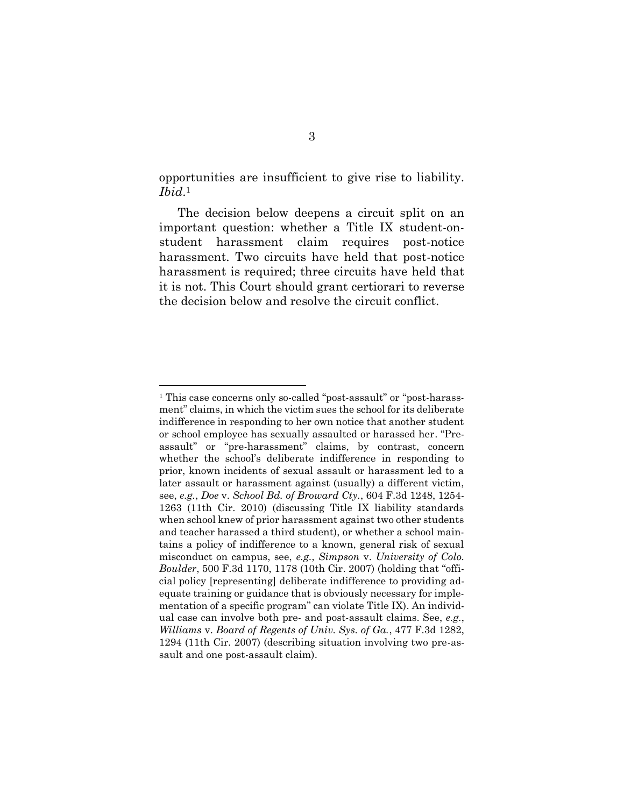opportunities are insufficient to give rise to liability. *Ibid*. 1

The decision below deepens a circuit split on an important question: whether a Title IX student-onstudent harassment claim requires post-notice harassment. Two circuits have held that post-notice harassment is required; three circuits have held that it is not. This Court should grant certiorari to reverse the decision below and resolve the circuit conflict.

<sup>1</sup> This case concerns only so-called "post-assault" or "post-harassment" claims, in which the victim sues the school for its deliberate indifference in responding to her own notice that another student or school employee has sexually assaulted or harassed her. "Preassault" or "pre-harassment" claims, by contrast, concern whether the school's deliberate indifference in responding to prior, known incidents of sexual assault or harassment led to a later assault or harassment against (usually) a different victim, see, *e.g.*, *Doe* v. *School Bd. of Broward Cty.*, 604 F.3d 1248, 1254- 1263 (11th Cir. 2010) (discussing Title IX liability standards when school knew of prior harassment against two other students and teacher harassed a third student), or whether a school maintains a policy of indifference to a known, general risk of sexual misconduct on campus, see, *e.g.*, *Simpson* v. *University of Colo. Boulder*, 500 F.3d 1170, 1178 (10th Cir. 2007) (holding that "official policy [representing] deliberate indifference to providing adequate training or guidance that is obviously necessary for implementation of a specific program" can violate Title IX). An individual case can involve both pre- and post-assault claims. See, *e.g.*, *Williams* v. *Board of Regents of Univ. Sys. of Ga.*, 477 F.3d 1282, 1294 (11th Cir. 2007) (describing situation involving two pre-assault and one post-assault claim).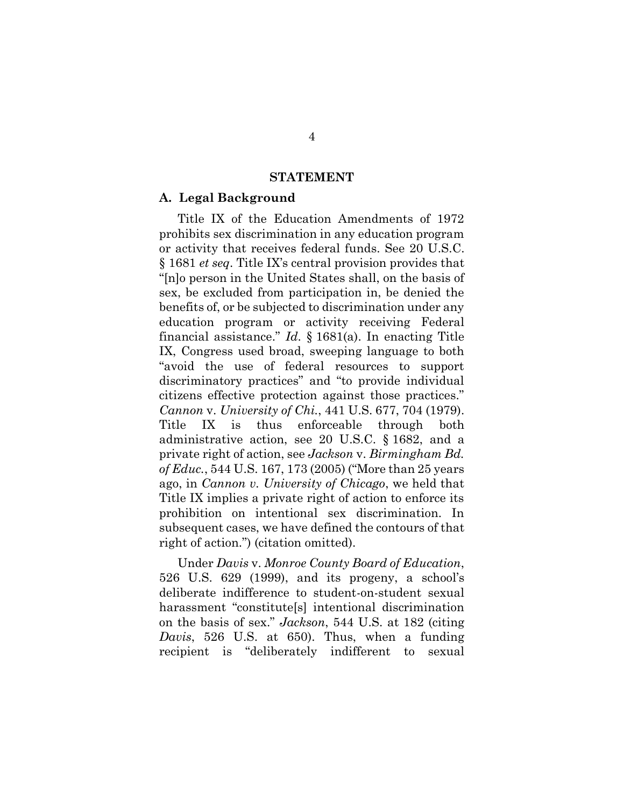#### **STATEMENT**

#### **A. Legal Background**

Title IX of the Education Amendments of 1972 prohibits sex discrimination in any education program or activity that receives federal funds. See 20 U.S.C. § 1681 *et seq*. Title IX's central provision provides that "[n]o person in the United States shall, on the basis of sex, be excluded from participation in, be denied the benefits of, or be subjected to discrimination under any education program or activity receiving Federal financial assistance." *Id*. § 1681(a). In enacting Title IX, Congress used broad, sweeping language to both "avoid the use of federal resources to support discriminatory practices" and "to provide individual citizens effective protection against those practices." *Cannon* v. *University of Chi.*, 441 U.S. 677, 704 (1979). Title IX is thus enforceable through both administrative action, see 20 U.S.C. § 1682, and a private right of action, see *Jackson* v. *Birmingham Bd. of Educ.*, 544 U.S. 167, 173 (2005) ("More than 25 years ago, in *Cannon v. University of Chicago*, we held that Title IX implies a private right of action to enforce its prohibition on intentional sex discrimination. In subsequent cases, we have defined the contours of that right of action.") (citation omitted).

Under *Davis* v. *Monroe County Board of Education*, 526 U.S. 629 (1999), and its progeny, a school's deliberate indifference to student-on-student sexual harassment "constitute[s] intentional discrimination on the basis of sex." *Jackson*, 544 U.S. at 182 (citing *Davis*, 526 U.S. at 650). Thus, when a funding recipient is "deliberately indifferent to sexual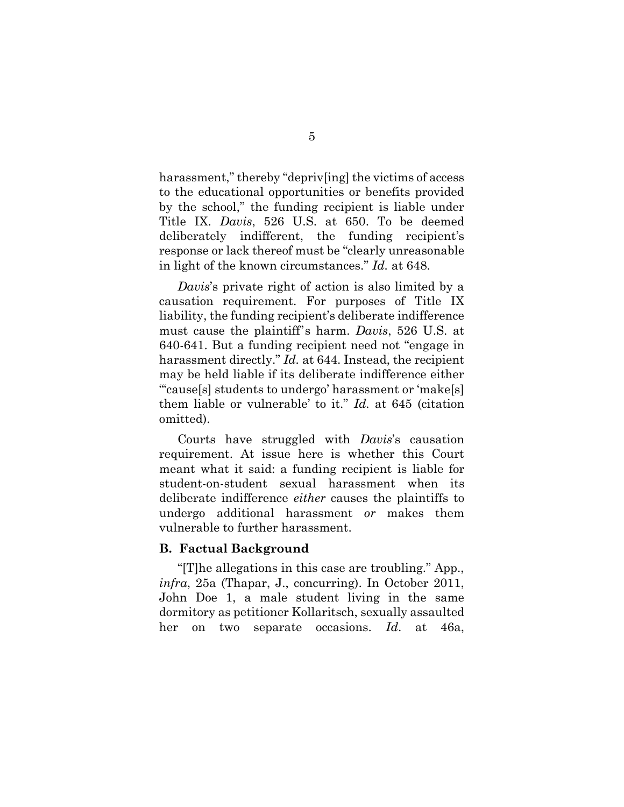harassment," thereby "depriv[ing] the victims of access to the educational opportunities or benefits provided by the school," the funding recipient is liable under Title IX. *Davis*, 526 U.S. at 650. To be deemed deliberately indifferent, the funding recipient's response or lack thereof must be "clearly unreasonable in light of the known circumstances." *Id.* at 648.

*Davis*'s private right of action is also limited by a causation requirement. For purposes of Title IX liability, the funding recipient's deliberate indifference must cause the plaintiff's harm. *Davis*, 526 U.S. at 640-641. But a funding recipient need not "engage in harassment directly." *Id.* at 644. Instead, the recipient may be held liable if its deliberate indifference either "'cause[s] students to undergo' harassment or 'make[s] them liable or vulnerable' to it." *Id.* at 645 (citation omitted).

Courts have struggled with *Davis*'s causation requirement. At issue here is whether this Court meant what it said: a funding recipient is liable for student-on-student sexual harassment when its deliberate indifference *either* causes the plaintiffs to undergo additional harassment *or* makes them vulnerable to further harassment.

#### **B. Factual Background**

"[T]he allegations in this case are troubling." App., *infra*, 25a (Thapar, J., concurring). In October 2011, John Doe 1, a male student living in the same dormitory as petitioner Kollaritsch, sexually assaulted her on two separate occasions. *Id*. at 46a,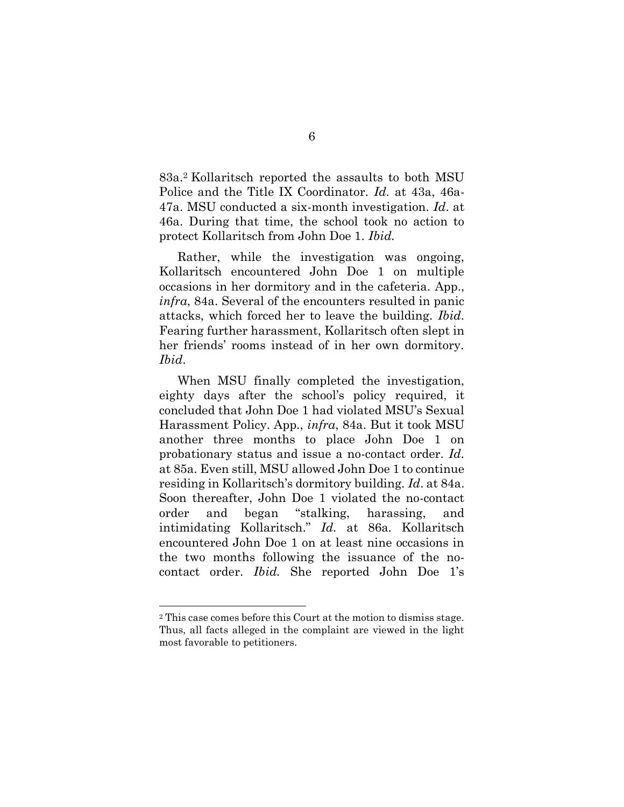83a. <sup>2</sup> Kollaritsch reported the assaults to both MSU Police and the Title IX Coordinator. *Id.* at 43a, 46a-47a. MSU conducted a six-month investigation. *Id*. at 46a. During that time, the school took no action to protect Kollaritsch from John Doe 1. *Ibid.*

Rather, while the investigation was ongoing, Kollaritsch encountered John Doe 1 on multiple occasions in her dormitory and in the cafeteria. App., *infra*, 84a. Several of the encounters resulted in panic attacks, which forced her to leave the building. *Ibid*. Fearing further harassment, Kollaritsch often slept in her friends' rooms instead of in her own dormitory. *Ibid*.

When MSU finally completed the investigation, eighty days after the school's policy required, it concluded that John Doe 1 had violated MSU's Sexual Harassment Policy. App., *infra*, 84a. But it took MSU another three months to place John Doe 1 on probationary status and issue a no-contact order. *Id*. at 85a. Even still, MSU allowed John Doe 1 to continue residing in Kollaritsch's dormitory building. *Id*. at 84a. Soon thereafter, John Doe 1 violated the no-contact order and began "stalking, harassing, and intimidating Kollaritsch." *Id.* at 86a*.* Kollaritsch encountered John Doe 1 on at least nine occasions in the two months following the issuance of the nocontact order. *Ibid.* She reported John Doe 1's

<sup>2</sup> This case comes before this Court at the motion to dismiss stage. Thus, all facts alleged in the complaint are viewed in the light most favorable to petitioners.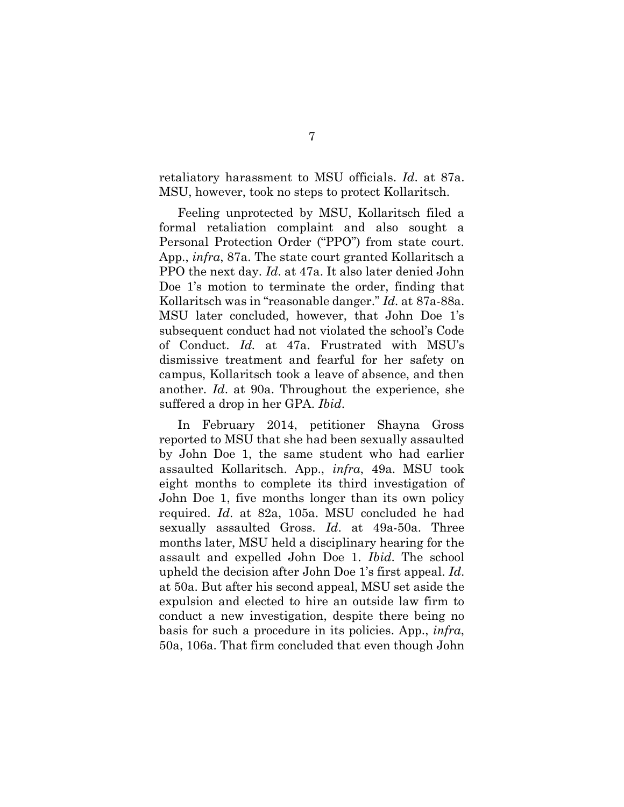retaliatory harassment to MSU officials. *Id*. at 87a. MSU, however, took no steps to protect Kollaritsch.

Feeling unprotected by MSU, Kollaritsch filed a formal retaliation complaint and also sought a Personal Protection Order ("PPO") from state court. App., *infra*, 87a. The state court granted Kollaritsch a PPO the next day. *Id*. at 47a. It also later denied John Doe 1's motion to terminate the order, finding that Kollaritsch was in "reasonable danger." *Id.* at 87a-88a. MSU later concluded, however, that John Doe 1's subsequent conduct had not violated the school's Code of Conduct. *Id.* at 47a. Frustrated with MSU's dismissive treatment and fearful for her safety on campus, Kollaritsch took a leave of absence, and then another. *Id*. at 90a. Throughout the experience, she suffered a drop in her GPA. *Ibid*.

In February 2014, petitioner Shayna Gross reported to MSU that she had been sexually assaulted by John Doe 1, the same student who had earlier assaulted Kollaritsch. App., *infra*, 49a. MSU took eight months to complete its third investigation of John Doe 1, five months longer than its own policy required. *Id*. at 82a, 105a. MSU concluded he had sexually assaulted Gross. *Id*. at 49a-50a. Three months later, MSU held a disciplinary hearing for the assault and expelled John Doe 1. *Ibid*. The school upheld the decision after John Doe 1's first appeal. *Id*. at 50a. But after his second appeal, MSU set aside the expulsion and elected to hire an outside law firm to conduct a new investigation, despite there being no basis for such a procedure in its policies. App., *infra*, 50a, 106a. That firm concluded that even though John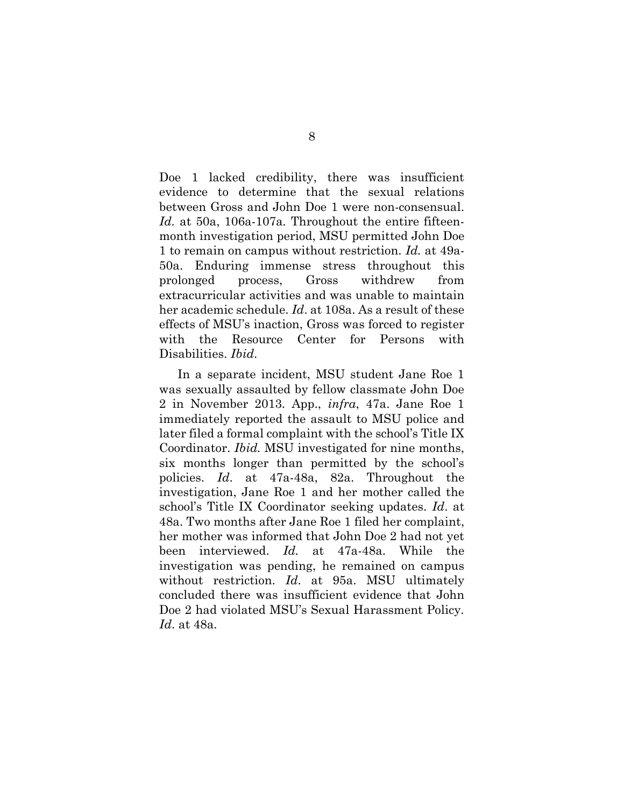Doe 1 lacked credibility, there was insufficient evidence to determine that the sexual relations between Gross and John Doe 1 were non-consensual. *Id.* at 50a, 106a-107a*.* Throughout the entire fifteenmonth investigation period, MSU permitted John Doe 1 to remain on campus without restriction. *Id.* at 49a-50a. Enduring immense stress throughout this prolonged process, Gross withdrew from extracurricular activities and was unable to maintain her academic schedule. *Id*. at 108a. As a result of these effects of MSU's inaction, Gross was forced to register with the Resource Center for Persons with Disabilities. *Ibid*.

In a separate incident, MSU student Jane Roe 1 was sexually assaulted by fellow classmate John Doe 2 in November 2013. App., *infra*, 47a. Jane Roe 1 immediately reported the assault to MSU police and later filed a formal complaint with the school's Title IX Coordinator. *Ibid.* MSU investigated for nine months, six months longer than permitted by the school's policies. *Id*. at 47a-48a, 82a. Throughout the investigation, Jane Roe 1 and her mother called the school's Title IX Coordinator seeking updates. *Id*. at 48a. Two months after Jane Roe 1 filed her complaint, her mother was informed that John Doe 2 had not yet been interviewed. *Id.* at 47a-48a. While the investigation was pending, he remained on campus without restriction. *Id*. at 95a. MSU ultimately concluded there was insufficient evidence that John Doe 2 had violated MSU's Sexual Harassment Policy. *Id*. at 48a.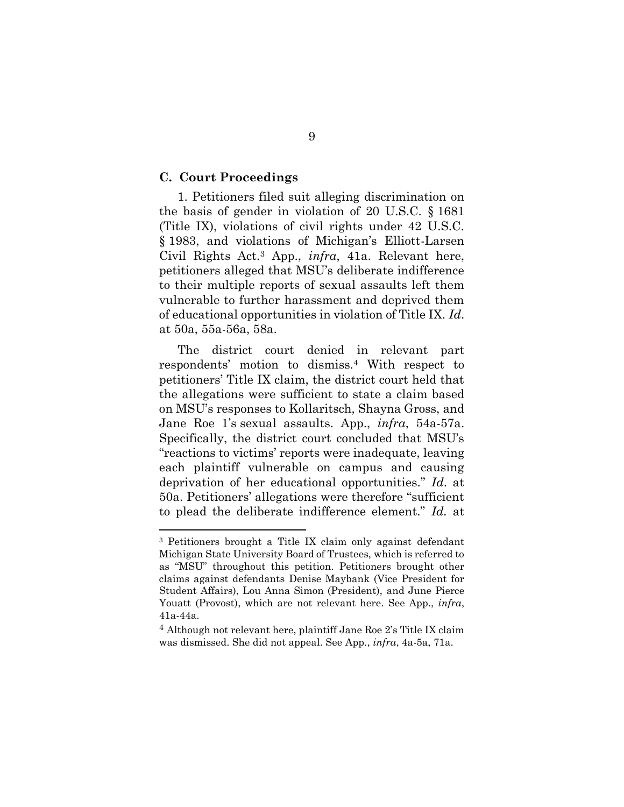#### **C. Court Proceedings**

1. Petitioners filed suit alleging discrimination on the basis of gender in violation of 20 U.S.C. § 1681 (Title IX), violations of civil rights under 42 U.S.C. § 1983, and violations of Michigan's Elliott-Larsen Civil Rights Act.<sup>3</sup> App., *infra*, 41a. Relevant here, petitioners alleged that MSU's deliberate indifference to their multiple reports of sexual assaults left them vulnerable to further harassment and deprived them of educational opportunities in violation of Title IX. *Id*. at 50a, 55a-56a, 58a.

The district court denied in relevant part respondents' motion to dismiss.<sup>4</sup> With respect to petitioners' Title IX claim, the district court held that the allegations were sufficient to state a claim based on MSU's responses to Kollaritsch, Shayna Gross, and Jane Roe 1's sexual assaults. App., *infra*, 54a-57a. Specifically, the district court concluded that MSU's "reactions to victims' reports were inadequate, leaving each plaintiff vulnerable on campus and causing deprivation of her educational opportunities." *Id*. at 50a. Petitioners' allegations were therefore "sufficient to plead the deliberate indifference element." *Id.* at

<sup>3</sup> Petitioners brought a Title IX claim only against defendant Michigan State University Board of Trustees, which is referred to as "MSU" throughout this petition. Petitioners brought other claims against defendants Denise Maybank (Vice President for Student Affairs), Lou Anna Simon (President), and June Pierce Youatt (Provost), which are not relevant here. See App., *infra*, 41a-44a.

<sup>4</sup> Although not relevant here, plaintiff Jane Roe 2's Title IX claim was dismissed. She did not appeal. See App., *infra*, 4a-5a, 71a.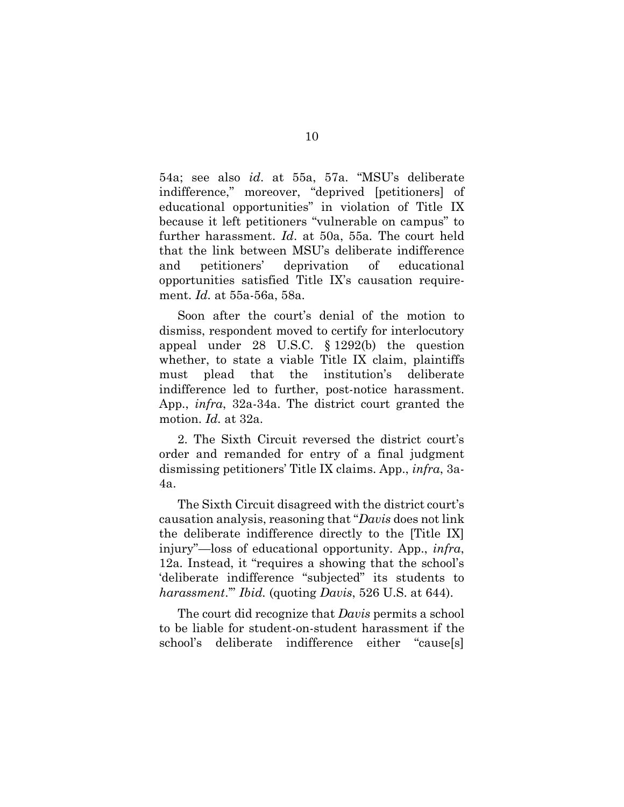54a; see also *id*. at 55a, 57a. "MSU's deliberate indifference," moreover, "deprived [petitioners] of educational opportunities" in violation of Title IX because it left petitioners "vulnerable on campus" to further harassment. *Id*. at 50a, 55a*.* The court held that the link between MSU's deliberate indifference and petitioners' deprivation of educational opportunities satisfied Title IX's causation requirement. *Id.* at 55a-56a, 58a.

Soon after the court's denial of the motion to dismiss, respondent moved to certify for interlocutory appeal under 28 U.S.C. § 1292(b) the question whether, to state a viable Title IX claim, plaintiffs must plead that the institution's deliberate indifference led to further, post-notice harassment. App., *infra*, 32a-34a. The district court granted the motion. *Id.* at 32a.

2. The Sixth Circuit reversed the district court's order and remanded for entry of a final judgment dismissing petitioners' Title IX claims. App., *infra*, 3a-4a.

The Sixth Circuit disagreed with the district court's causation analysis, reasoning that "*Davis* does not link the deliberate indifference directly to the [Title IX] injury"—loss of educational opportunity. App., *infra*, 12a*.* Instead, it "requires a showing that the school's 'deliberate indifference "subjected" its students to *harassment*.'" *Ibid.* (quoting *Davis*, 526 U.S. at 644).

The court did recognize that *Davis* permits a school to be liable for student-on-student harassment if the school's deliberate indifference either "cause[s]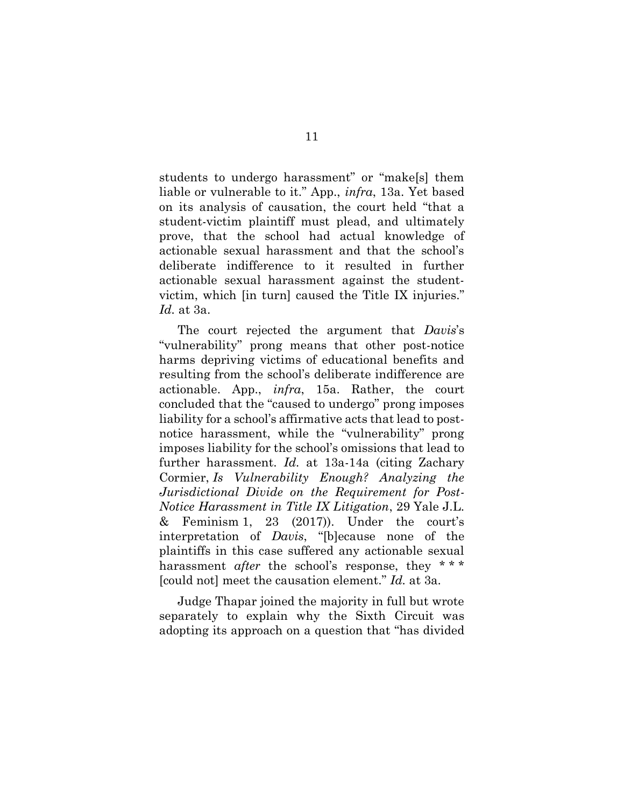students to undergo harassment" or "make[s] them liable or vulnerable to it." App., *infra*, 13a. Yet based on its analysis of causation, the court held "that a student-victim plaintiff must plead, and ultimately prove, that the school had actual knowledge of actionable sexual harassment and that the school's deliberate indifference to it resulted in further actionable sexual harassment against the studentvictim, which [in turn] caused the Title IX injuries." *Id.* at 3a.

The court rejected the argument that *Davis*'s "vulnerability" prong means that other post-notice harms depriving victims of educational benefits and resulting from the school's deliberate indifference are actionable. App., *infra*, 15a. Rather, the court concluded that the "caused to undergo" prong imposes liability for a school's affirmative acts that lead to postnotice harassment, while the "vulnerability" prong imposes liability for the school's omissions that lead to further harassment. *Id.* at 13a-14a (citing Zachary Cormier, *Is Vulnerability Enough? Analyzing the Jurisdictional Divide on the Requirement for Post-Notice Harassment in Title IX Litigation*, 29 Yale J.L. & Feminism 1, 23  $(2017)$ ). Under the court's interpretation of *Davis*, "[b]ecause none of the plaintiffs in this case suffered any actionable sexual harassment *after* the school's response, they \*\*\* [could not] meet the causation element." *Id.* at 3a.

Judge Thapar joined the majority in full but wrote separately to explain why the Sixth Circuit was adopting its approach on a question that "has divided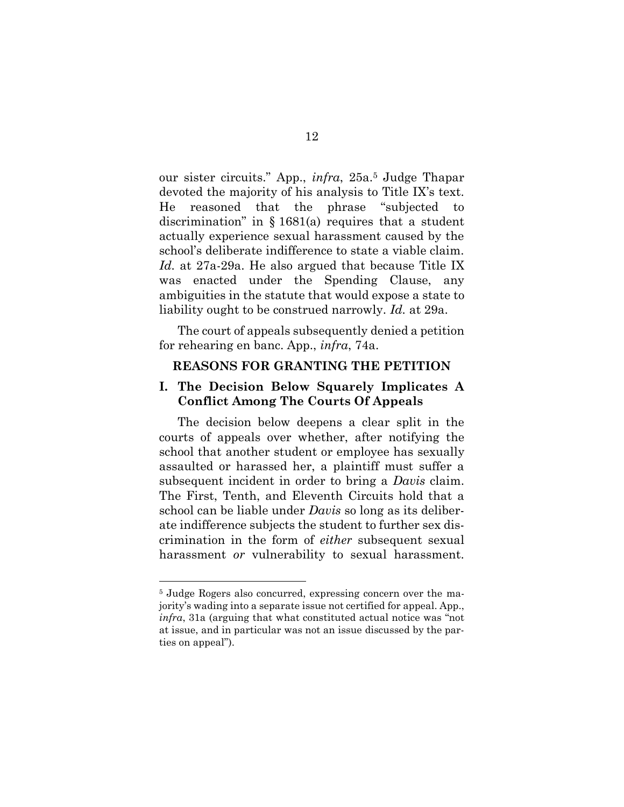our sister circuits." App., *infra*, 25a. <sup>5</sup> Judge Thapar devoted the majority of his analysis to Title IX's text. He reasoned that the phrase "subjected to discrimination" in § 1681(a) requires that a student actually experience sexual harassment caused by the school's deliberate indifference to state a viable claim. *Id.* at 27a-29a. He also argued that because Title IX was enacted under the Spending Clause, any ambiguities in the statute that would expose a state to liability ought to be construed narrowly. *Id.* at 29a.

The court of appeals subsequently denied a petition for rehearing en banc. App., *infra*, 74a.

#### **REASONS FOR GRANTING THE PETITION**

### **I. The Decision Below Squarely Implicates A Conflict Among The Courts Of Appeals**

The decision below deepens a clear split in the courts of appeals over whether, after notifying the school that another student or employee has sexually assaulted or harassed her, a plaintiff must suffer a subsequent incident in order to bring a *Davis* claim. The First, Tenth, and Eleventh Circuits hold that a school can be liable under *Davis* so long as its deliberate indifference subjects the student to further sex discrimination in the form of *either* subsequent sexual harassment *or* vulnerability to sexual harassment.

<sup>5</sup> Judge Rogers also concurred, expressing concern over the majority's wading into a separate issue not certified for appeal. App., *infra*, 31a (arguing that what constituted actual notice was "not at issue, and in particular was not an issue discussed by the parties on appeal").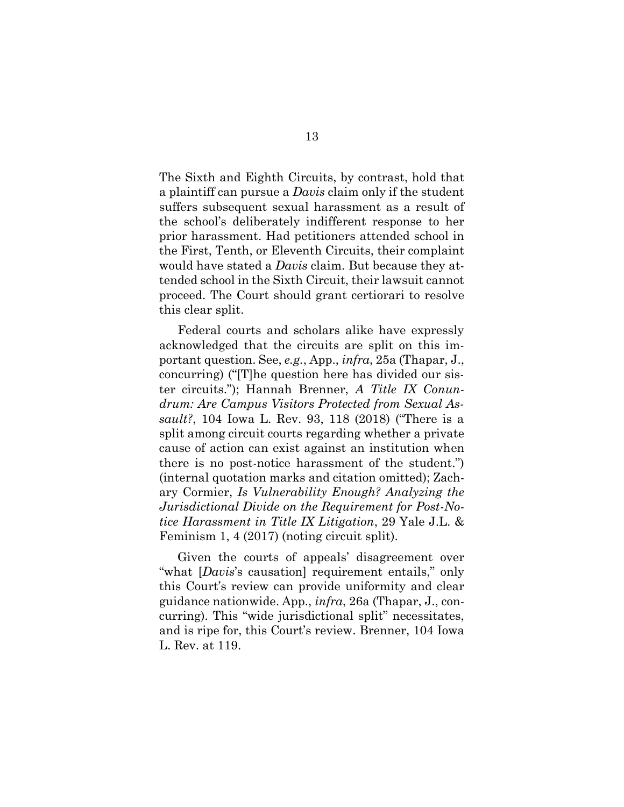The Sixth and Eighth Circuits, by contrast, hold that a plaintiff can pursue a *Davis* claim only if the student suffers subsequent sexual harassment as a result of the school's deliberately indifferent response to her prior harassment. Had petitioners attended school in the First, Tenth, or Eleventh Circuits, their complaint would have stated a *Davis* claim. But because they attended school in the Sixth Circuit, their lawsuit cannot proceed. The Court should grant certiorari to resolve this clear split.

Federal courts and scholars alike have expressly acknowledged that the circuits are split on this important question. See, *e.g.*, App., *infra*, 25a (Thapar, J., concurring) ("[T]he question here has divided our sister circuits."); Hannah Brenner, *A Title IX Conundrum: Are Campus Visitors Protected from Sexual Assault?*, 104 Iowa L. Rev. 93, 118 (2018) ("There is a split among circuit courts regarding whether a private cause of action can exist against an institution when there is no post-notice harassment of the student.") (internal quotation marks and citation omitted); Zachary Cormier, *Is Vulnerability Enough? Analyzing the Jurisdictional Divide on the Requirement for Post-Notice Harassment in Title IX Litigation*, 29 Yale J.L. & Feminism 1, 4 (2017) (noting circuit split).

Given the courts of appeals' disagreement over "what [*Davis*'s causation] requirement entails," only this Court's review can provide uniformity and clear guidance nationwide. App., *infra*, 26a (Thapar, J., concurring). This "wide jurisdictional split" necessitates, and is ripe for, this Court's review. Brenner, 104 Iowa L. Rev. at 119.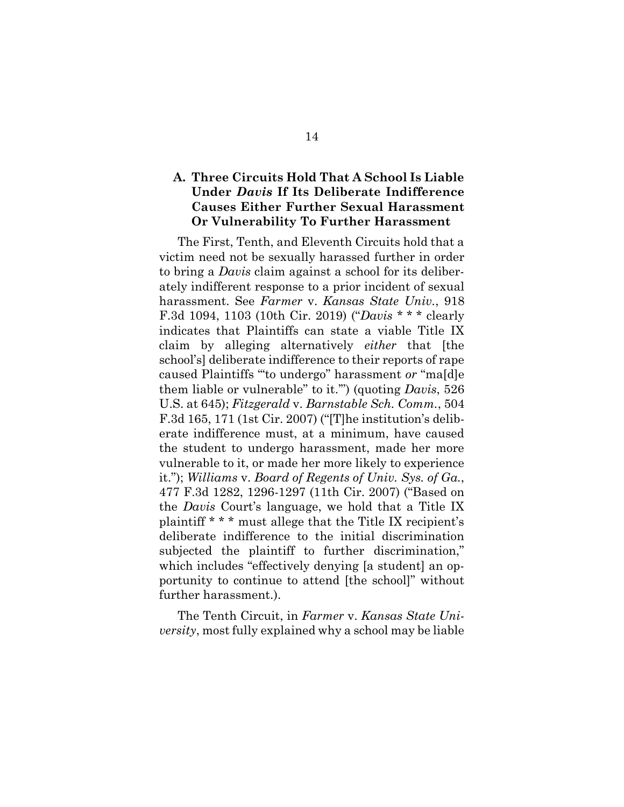## **A. Three Circuits Hold That A School Is Liable Under** *Davis* **If Its Deliberate Indifference Causes Either Further Sexual Harassment Or Vulnerability To Further Harassment**

The First, Tenth, and Eleventh Circuits hold that a victim need not be sexually harassed further in order to bring a *Davis* claim against a school for its deliberately indifferent response to a prior incident of sexual harassment. See *Farmer* v. *Kansas State Univ.*, 918 F.3d 1094, 1103 (10th Cir. 2019) ("*Davis* \* \* \* clearly indicates that Plaintiffs can state a viable Title IX claim by alleging alternatively *either* that [the school's] deliberate indifference to their reports of rape caused Plaintiffs "'to undergo" harassment *or* "ma[d]e them liable or vulnerable" to it.'") (quoting *Davis*, 526 U.S. at 645); *Fitzgerald* v. *Barnstable Sch. Comm.*, 504 F.3d 165, 171 (1st Cir. 2007) ("[T]he institution's deliberate indifference must, at a minimum, have caused the student to undergo harassment, made her more vulnerable to it, or made her more likely to experience it."); *Williams* v. *Board of Regents of Univ. Sys. of Ga.*, 477 F.3d 1282, 1296-1297 (11th Cir. 2007) ("Based on the *Davis* Court's language, we hold that a Title IX plaintiff \* \* \* must allege that the Title IX recipient's deliberate indifference to the initial discrimination subjected the plaintiff to further discrimination," which includes "effectively denying [a student] an opportunity to continue to attend [the school]" without further harassment.).

The Tenth Circuit, in *Farmer* v. *Kansas State University*, most fully explained why a school may be liable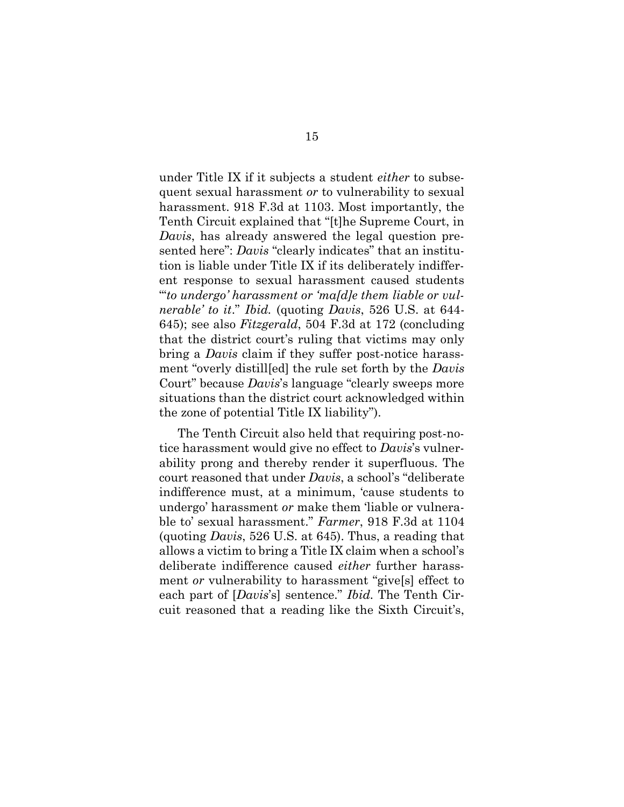under Title IX if it subjects a student *either* to subsequent sexual harassment *or* to vulnerability to sexual harassment. 918 F.3d at 1103. Most importantly, the Tenth Circuit explained that "[t]he Supreme Court, in *Davis*, has already answered the legal question presented here": *Davis* "clearly indicates" that an institution is liable under Title IX if its deliberately indifferent response to sexual harassment caused students "'*to undergo' harassment or 'ma[d]e them liable or vulnerable' to it*." *Ibid.* (quoting *Davis*, 526 U.S. at 644- 645); see also *Fitzgerald*, 504 F.3d at 172 (concluding that the district court's ruling that victims may only bring a *Davis* claim if they suffer post-notice harassment "overly distill[ed] the rule set forth by the *Davis*  Court" because *Davis*'s language "clearly sweeps more situations than the district court acknowledged within the zone of potential Title IX liability").

The Tenth Circuit also held that requiring post-notice harassment would give no effect to *Davis*'s vulnerability prong and thereby render it superfluous. The court reasoned that under *Davis*, a school's "deliberate indifference must, at a minimum, 'cause students to undergo' harassment *or* make them 'liable or vulnerable to' sexual harassment." *Farmer*, 918 F.3d at 1104 (quoting *Davis*, 526 U.S. at 645). Thus, a reading that allows a victim to bring a Title IX claim when a school's deliberate indifference caused *either* further harassment *or* vulnerability to harassment "give[s] effect to each part of [*Davis*'s] sentence." *Ibid.* The Tenth Circuit reasoned that a reading like the Sixth Circuit's,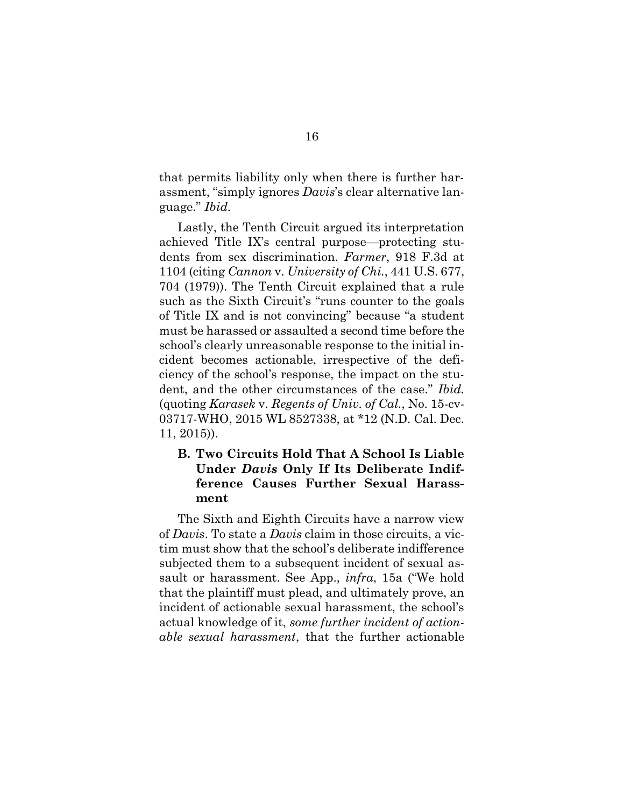that permits liability only when there is further harassment, "simply ignores *Davis*'s clear alternative language." *Ibid.*

Lastly, the Tenth Circuit argued its interpretation achieved Title IX's central purpose—protecting students from sex discrimination. *Farmer*, 918 F.3d at 1104 (citing *Cannon* v. *University of Chi.*, 441 U.S. 677, 704 (1979)). The Tenth Circuit explained that a rule such as the Sixth Circuit's "runs counter to the goals of Title IX and is not convincing" because "a student must be harassed or assaulted a second time before the school's clearly unreasonable response to the initial incident becomes actionable, irrespective of the deficiency of the school's response, the impact on the student, and the other circumstances of the case." *Ibid.* (quoting *Karasek* v. *Regents of Univ. of Cal.*, No. 15-cv-03717-WHO, 2015 WL 8527338, at \*12 (N.D. Cal. Dec. 11, 2015)).

## **B. Two Circuits Hold That A School Is Liable Under** *Davis* **Only If Its Deliberate Indifference Causes Further Sexual Harassment**

The Sixth and Eighth Circuits have a narrow view of *Davis*. To state a *Davis* claim in those circuits, a victim must show that the school's deliberate indifference subjected them to a subsequent incident of sexual assault or harassment. See App., *infra*, 15a ("We hold that the plaintiff must plead, and ultimately prove, an incident of actionable sexual harassment, the school's actual knowledge of it, *some further incident of actionable sexual harassment*, that the further actionable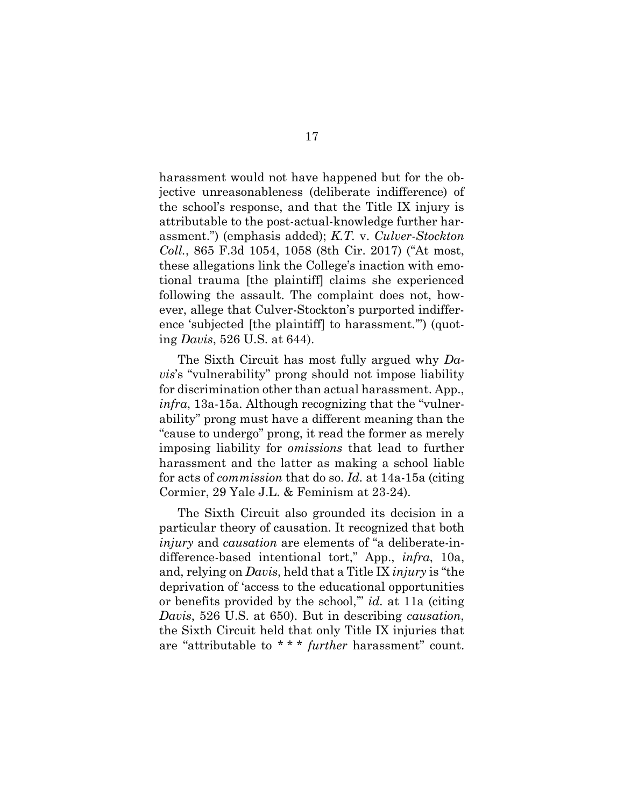harassment would not have happened but for the objective unreasonableness (deliberate indifference) of the school's response, and that the Title IX injury is attributable to the post-actual-knowledge further harassment.") (emphasis added); *K.T.* v. *Culver-Stockton Coll.*, 865 F.3d 1054, 1058 (8th Cir. 2017) ("At most, these allegations link the College's inaction with emotional trauma [the plaintiff] claims she experienced following the assault. The complaint does not, however, allege that Culver-Stockton's purported indifference 'subjected [the plaintiff] to harassment.'") (quoting *Davis*, 526 U.S. at 644).

The Sixth Circuit has most fully argued why *Davis*'s "vulnerability" prong should not impose liability for discrimination other than actual harassment. App., *infra*, 13a-15a. Although recognizing that the "vulnerability" prong must have a different meaning than the "cause to undergo" prong, it read the former as merely imposing liability for *omissions* that lead to further harassment and the latter as making a school liable for acts of *commission* that do so. *Id.* at 14a-15a (citing Cormier, 29 Yale J.L. & Feminism at 23-24).

The Sixth Circuit also grounded its decision in a particular theory of causation. It recognized that both *injury* and *causation* are elements of "a deliberate-indifference-based intentional tort," App., *infra*, 10a, and, relying on *Davis*, held that a Title IX *injury* is "the deprivation of 'access to the educational opportunities or benefits provided by the school,'" *id.* at 11a (citing *Davis*, 526 U.S. at 650). But in describing *causation*, the Sixth Circuit held that only Title IX injuries that are "attributable to \* \* \* *further* harassment" count.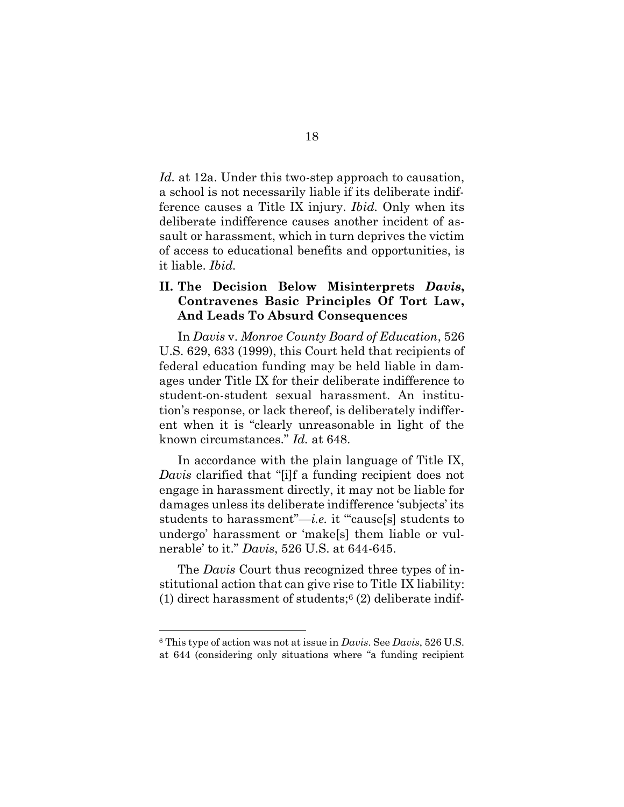*Id.* at 12a. Under this two-step approach to causation, a school is not necessarily liable if its deliberate indifference causes a Title IX injury. *Ibid.* Only when its deliberate indifference causes another incident of assault or harassment, which in turn deprives the victim of access to educational benefits and opportunities, is it liable. *Ibid.*

## **II. The Decision Below Misinterprets** *Davis***, Contravenes Basic Principles Of Tort Law, And Leads To Absurd Consequences**

In *Davis* v. *Monroe County Board of Education*, 526 U.S. 629, 633 (1999), this Court held that recipients of federal education funding may be held liable in damages under Title IX for their deliberate indifference to student-on-student sexual harassment. An institution's response, or lack thereof, is deliberately indifferent when it is "clearly unreasonable in light of the known circumstances." *Id.* at 648.

In accordance with the plain language of Title IX, *Davis* clarified that "[i]f a funding recipient does not engage in harassment directly, it may not be liable for damages unless its deliberate indifference 'subjects' its students to harassment"—*i.e.* it "cause[s] students to undergo' harassment or 'make[s] them liable or vulnerable' to it." *Davis*, 526 U.S. at 644-645.

The *Davis* Court thus recognized three types of institutional action that can give rise to Title IX liability: (1) direct harassment of students; $6$  (2) deliberate indif-

<sup>6</sup> This type of action was not at issue in *Davis*. See *Davis*, 526 U.S. at 644 (considering only situations where "a funding recipient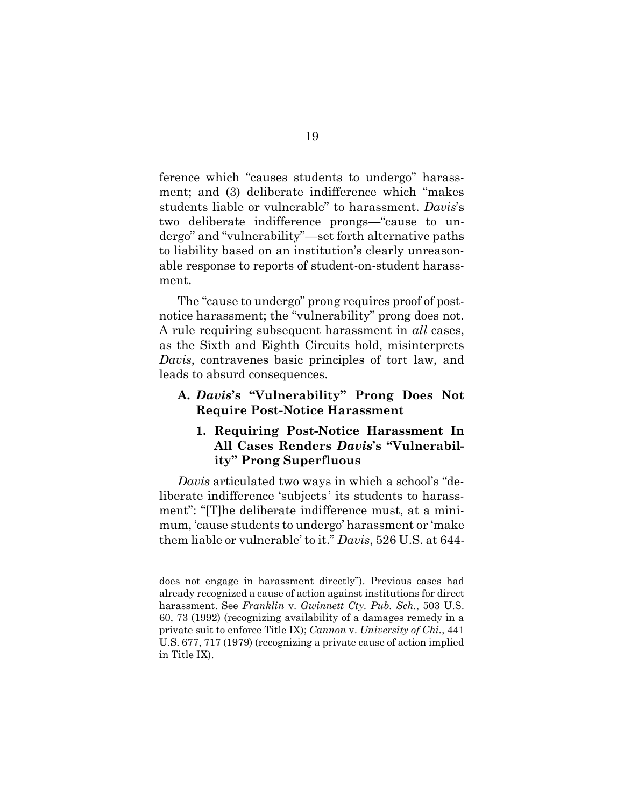ference which "causes students to undergo" harassment; and (3) deliberate indifference which "makes students liable or vulnerable" to harassment. *Davis*'s two deliberate indifference prongs—"cause to undergo" and "vulnerability"—set forth alternative paths to liability based on an institution's clearly unreasonable response to reports of student-on-student harassment.

The "cause to undergo" prong requires proof of postnotice harassment; the "vulnerability" prong does not. A rule requiring subsequent harassment in *all* cases, as the Sixth and Eighth Circuits hold, misinterprets *Davis*, contravenes basic principles of tort law, and leads to absurd consequences.

### **A.** *Davis***'s "Vulnerability" Prong Does Not Require Post-Notice Harassment**

### **1. Requiring Post-Notice Harassment In All Cases Renders** *Davis***'s "Vulnerability" Prong Superfluous**

*Davis* articulated two ways in which a school's "deliberate indifference 'subjects ' its students to harassment": "[T]he deliberate indifference must, at a minimum, 'cause students to undergo' harassment or 'make them liable or vulnerable' to it." *Davis*, 526 U.S. at 644-

does not engage in harassment directly"). Previous cases had already recognized a cause of action against institutions for direct harassment. See *Franklin* v. *Gwinnett Cty. Pub. Sch.*, 503 U.S. 60, 73 (1992) (recognizing availability of a damages remedy in a private suit to enforce Title IX); *Cannon* v. *University of Chi.*, 441 U.S. 677, 717 (1979) (recognizing a private cause of action implied in Title IX).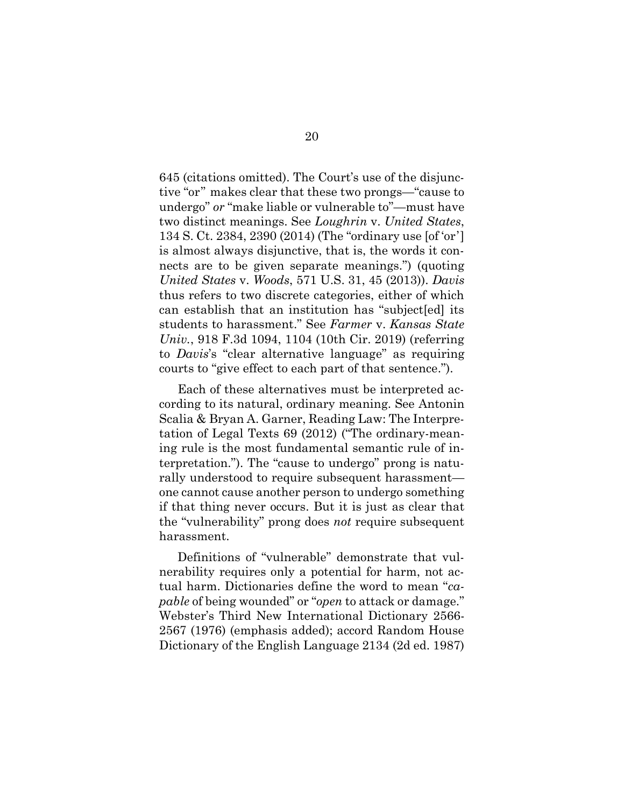645 (citations omitted). The Court's use of the disjunctive "or" makes clear that these two prongs—"cause to undergo" *or* "make liable or vulnerable to"—must have two distinct meanings. See *Loughrin* v. *United States*, 134 S. Ct. 2384, 2390 (2014) (The "ordinary use [of 'or'] is almost always disjunctive, that is, the words it connects are to be given separate meanings.") (quoting *United States* v. *Woods*, 571 U.S. 31, 45 (2013)). *Davis* thus refers to two discrete categories, either of which can establish that an institution has "subject[ed] its students to harassment." See *Farmer* v. *Kansas State Univ.*, 918 F.3d 1094, 1104 (10th Cir. 2019) (referring to *Davis*'s "clear alternative language" as requiring courts to "give effect to each part of that sentence.").

Each of these alternatives must be interpreted according to its natural, ordinary meaning. See Antonin Scalia & Bryan A. Garner, Reading Law: The Interpretation of Legal Texts 69 (2012) ("The ordinary-meaning rule is the most fundamental semantic rule of interpretation."). The "cause to undergo" prong is naturally understood to require subsequent harassment one cannot cause another person to undergo something if that thing never occurs. But it is just as clear that the "vulnerability" prong does *not* require subsequent harassment.

Definitions of "vulnerable" demonstrate that vulnerability requires only a potential for harm, not actual harm. Dictionaries define the word to mean "*capable* of being wounded" or "*open* to attack or damage." Webster's Third New International Dictionary 2566- 2567 (1976) (emphasis added); accord Random House Dictionary of the English Language 2134 (2d ed. 1987)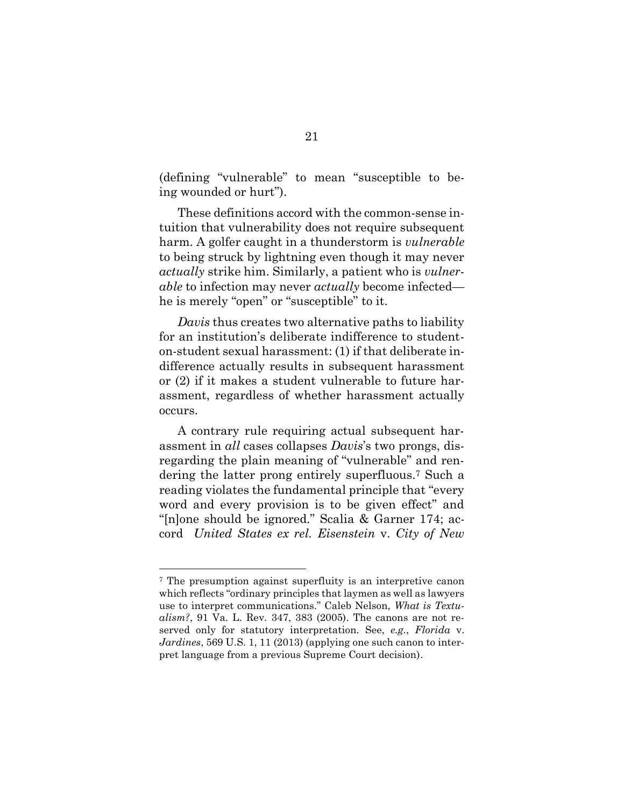(defining "vulnerable" to mean "susceptible to being wounded or hurt").

These definitions accord with the common-sense intuition that vulnerability does not require subsequent harm. A golfer caught in a thunderstorm is *vulnerable*  to being struck by lightning even though it may never *actually* strike him. Similarly, a patient who is *vulnerable* to infection may never *actually* become infected he is merely "open" or "susceptible" to it.

*Davis* thus creates two alternative paths to liability for an institution's deliberate indifference to studenton-student sexual harassment: (1) if that deliberate indifference actually results in subsequent harassment or (2) if it makes a student vulnerable to future harassment, regardless of whether harassment actually occurs.

A contrary rule requiring actual subsequent harassment in *all* cases collapses *Davis*'s two prongs, disregarding the plain meaning of "vulnerable" and rendering the latter prong entirely superfluous.<sup>7</sup> Such a reading violates the fundamental principle that "every word and every provision is to be given effect" and "[n]one should be ignored." Scalia & Garner 174; accord *United States ex rel. Eisenstein* v. *City of New* 

<sup>7</sup> The presumption against superfluity is an interpretive canon which reflects "ordinary principles that laymen as well as lawyers use to interpret communications." Caleb Nelson, *What is Textualism?*, 91 Va. L. Rev. 347, 383 (2005). The canons are not reserved only for statutory interpretation. See, *e.g.*, *Florida* v. *Jardines*, 569 U.S. 1, 11 (2013) (applying one such canon to interpret language from a previous Supreme Court decision).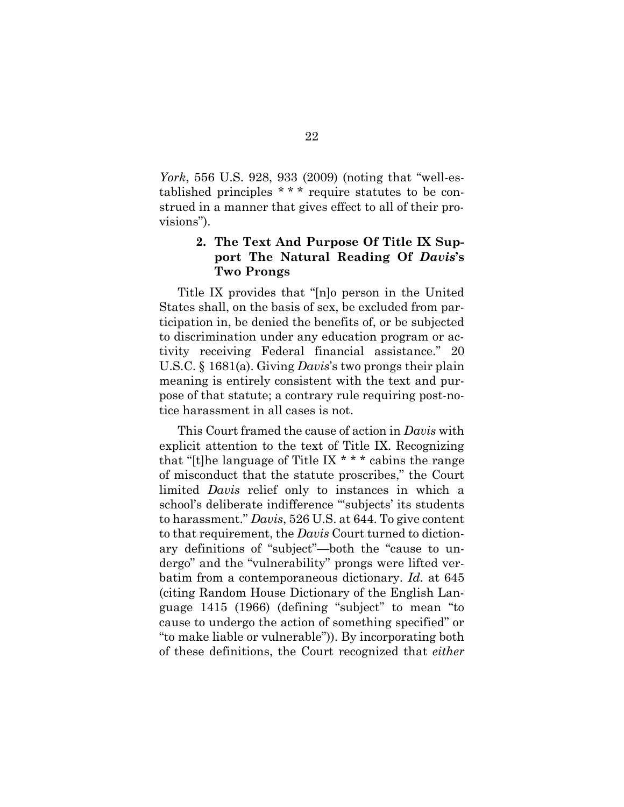*York*, 556 U.S. 928, 933 (2009) (noting that "well-established principles \* \* \* require statutes to be construed in a manner that gives effect to all of their provisions").

## **2. The Text And Purpose Of Title IX Support The Natural Reading Of** *Davis***'s Two Prongs**

Title IX provides that "[n]o person in the United States shall, on the basis of sex, be excluded from participation in, be denied the benefits of, or be subjected to discrimination under any education program or activity receiving Federal financial assistance." 20 U.S.C. § 1681(a). Giving *Davis*'s two prongs their plain meaning is entirely consistent with the text and purpose of that statute; a contrary rule requiring post-notice harassment in all cases is not.

This Court framed the cause of action in *Davis* with explicit attention to the text of Title IX. Recognizing that "[t]he language of Title IX  $* * *$  cabins the range of misconduct that the statute proscribes," the Court limited *Davis* relief only to instances in which a school's deliberate indifference "'subjects' its students to harassment." *Davis*, 526 U.S. at 644. To give content to that requirement, the *Davis* Court turned to dictionary definitions of "subject"—both the "cause to undergo" and the "vulnerability" prongs were lifted verbatim from a contemporaneous dictionary. *Id.* at 645 (citing Random House Dictionary of the English Language 1415 (1966) (defining "subject" to mean "to cause to undergo the action of something specified" or "to make liable or vulnerable")). By incorporating both of these definitions, the Court recognized that *either*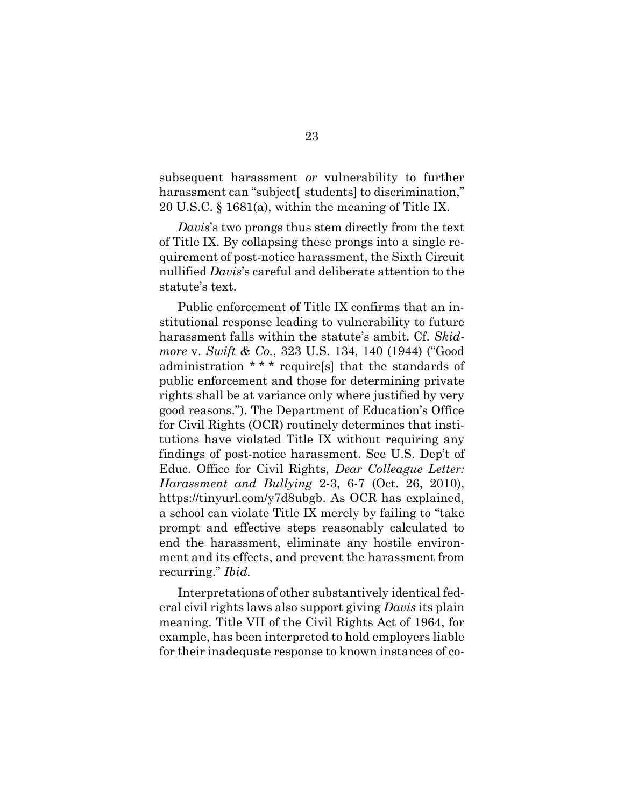subsequent harassment *or* vulnerability to further harassment can "subject students to discrimination," 20 U.S.C. § 1681(a), within the meaning of Title IX.

*Davis*'s two prongs thus stem directly from the text of Title IX. By collapsing these prongs into a single requirement of post-notice harassment, the Sixth Circuit nullified *Davis*'s careful and deliberate attention to the statute's text.

Public enforcement of Title IX confirms that an institutional response leading to vulnerability to future harassment falls within the statute's ambit. Cf. *Skidmore* v. *Swift & Co.*, 323 U.S. 134, 140 (1944) ("Good administration \* \* \* require[s] that the standards of public enforcement and those for determining private rights shall be at variance only where justified by very good reasons."). The Department of Education's Office for Civil Rights (OCR) routinely determines that institutions have violated Title IX without requiring any findings of post-notice harassment. See U.S. Dep't of Educ. Office for Civil Rights, *Dear Colleague Letter: Harassment and Bullying* 2-3, 6-7 (Oct. 26, 2010), https://tinyurl.com/y7d8ubgb. As OCR has explained, a school can violate Title IX merely by failing to "take prompt and effective steps reasonably calculated to end the harassment, eliminate any hostile environment and its effects, and prevent the harassment from recurring." *Ibid.*

Interpretations of other substantively identical federal civil rights laws also support giving *Davis* its plain meaning. Title VII of the Civil Rights Act of 1964, for example, has been interpreted to hold employers liable for their inadequate response to known instances of co-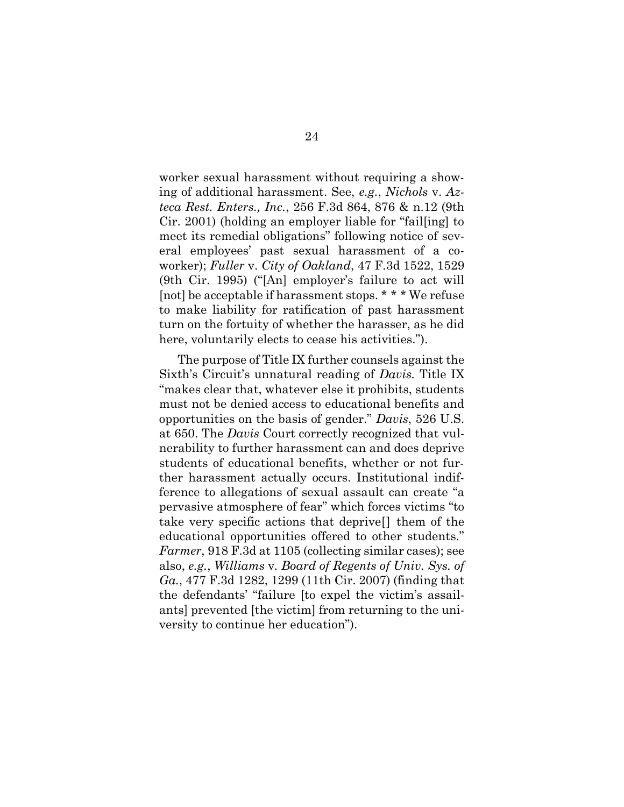worker sexual harassment without requiring a showing of additional harassment. See, *e.g.*, *Nichols* v. *Azteca Rest. Enters., Inc.*, 256 F.3d 864, 876 & n.12 (9th Cir. 2001) (holding an employer liable for "fail[ing] to meet its remedial obligations" following notice of several employees' past sexual harassment of a coworker); *Fuller* v. *City of Oakland*, 47 F.3d 1522, 1529 (9th Cir. 1995) ("[An] employer's failure to act will [not] be acceptable if harassment stops. \* \* \* We refuse to make liability for ratification of past harassment turn on the fortuity of whether the harasser, as he did here, voluntarily elects to cease his activities.").

The purpose of Title IX further counsels against the Sixth's Circuit's unnatural reading of *Davis.* Title IX "makes clear that, whatever else it prohibits, students must not be denied access to educational benefits and opportunities on the basis of gender." *Davis*, 526 U.S. at 650. The *Davis* Court correctly recognized that vulnerability to further harassment can and does deprive students of educational benefits, whether or not further harassment actually occurs. Institutional indifference to allegations of sexual assault can create "a pervasive atmosphere of fear" which forces victims "to take very specific actions that deprive[] them of the educational opportunities offered to other students." *Farmer*, 918 F.3d at 1105 (collecting similar cases); see also, *e.g.*, *Williams* v*. Board of Regents of Univ. Sys. of Ga.*, 477 F.3d 1282, 1299 (11th Cir. 2007) (finding that the defendants' "failure [to expel the victim's assailants] prevented [the victim] from returning to the university to continue her education").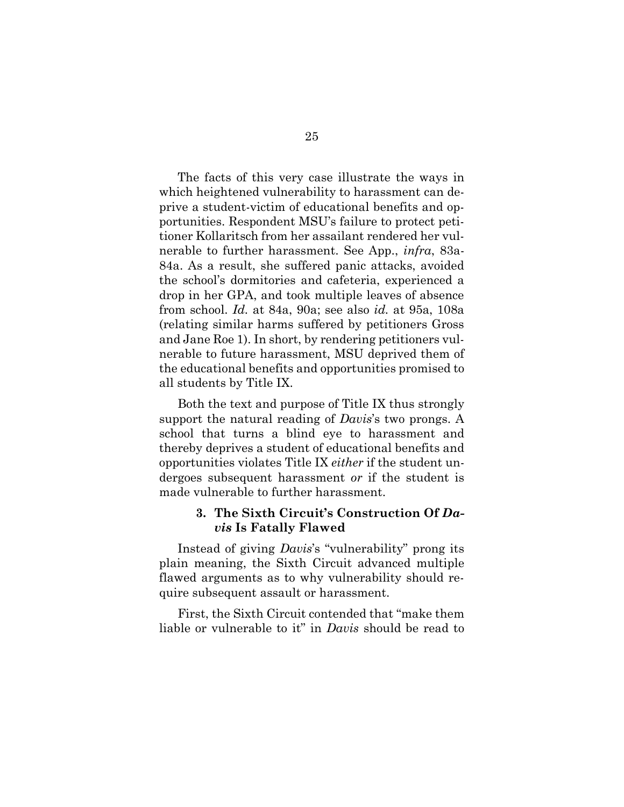The facts of this very case illustrate the ways in which heightened vulnerability to harassment can deprive a student-victim of educational benefits and opportunities. Respondent MSU's failure to protect petitioner Kollaritsch from her assailant rendered her vulnerable to further harassment. See App., *infra*, 83a-84a. As a result, she suffered panic attacks, avoided the school's dormitories and cafeteria, experienced a drop in her GPA, and took multiple leaves of absence from school. *Id.* at 84a, 90a; see also *id.* at 95a, 108a (relating similar harms suffered by petitioners Gross and Jane Roe 1). In short, by rendering petitioners vulnerable to future harassment, MSU deprived them of the educational benefits and opportunities promised to all students by Title IX.

Both the text and purpose of Title IX thus strongly support the natural reading of *Davis*'s two prongs. A school that turns a blind eye to harassment and thereby deprives a student of educational benefits and opportunities violates Title IX *either* if the student undergoes subsequent harassment *or* if the student is made vulnerable to further harassment.

### **3. The Sixth Circuit's Construction Of** *Davis* **Is Fatally Flawed**

Instead of giving *Davis*'s "vulnerability" prong its plain meaning, the Sixth Circuit advanced multiple flawed arguments as to why vulnerability should require subsequent assault or harassment.

First, the Sixth Circuit contended that "make them liable or vulnerable to it" in *Davis* should be read to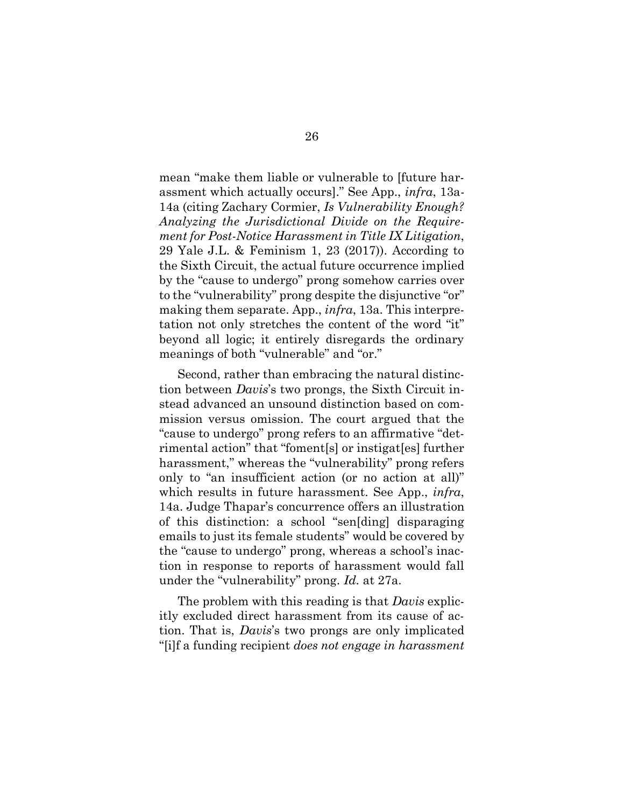mean "make them liable or vulnerable to [future harassment which actually occurs]." See App., *infra*, 13a-14a (citing Zachary Cormier, *Is Vulnerability Enough? Analyzing the Jurisdictional Divide on the Requirement for Post-Notice Harassment in Title IX Litigation*, 29 Yale J.L. & Feminism 1, 23 (2017)). According to the Sixth Circuit, the actual future occurrence implied by the "cause to undergo" prong somehow carries over to the "vulnerability" prong despite the disjunctive "or" making them separate. App., *infra*, 13a. This interpretation not only stretches the content of the word "it" beyond all logic; it entirely disregards the ordinary meanings of both "vulnerable" and "or."

Second, rather than embracing the natural distinction between *Davis*'s two prongs, the Sixth Circuit instead advanced an unsound distinction based on commission versus omission. The court argued that the "cause to undergo" prong refers to an affirmative "detrimental action" that "foment[s] or instigat[es] further harassment," whereas the "vulnerability" prong refers only to "an insufficient action (or no action at all)" which results in future harassment. See App., *infra*, 14a. Judge Thapar's concurrence offers an illustration of this distinction: a school "sen[ding] disparaging emails to just its female students" would be covered by the "cause to undergo" prong, whereas a school's inaction in response to reports of harassment would fall under the "vulnerability" prong. *Id.* at 27a.

The problem with this reading is that *Davis* explicitly excluded direct harassment from its cause of action. That is, *Davis*'s two prongs are only implicated "[i]f a funding recipient *does not engage in harassment*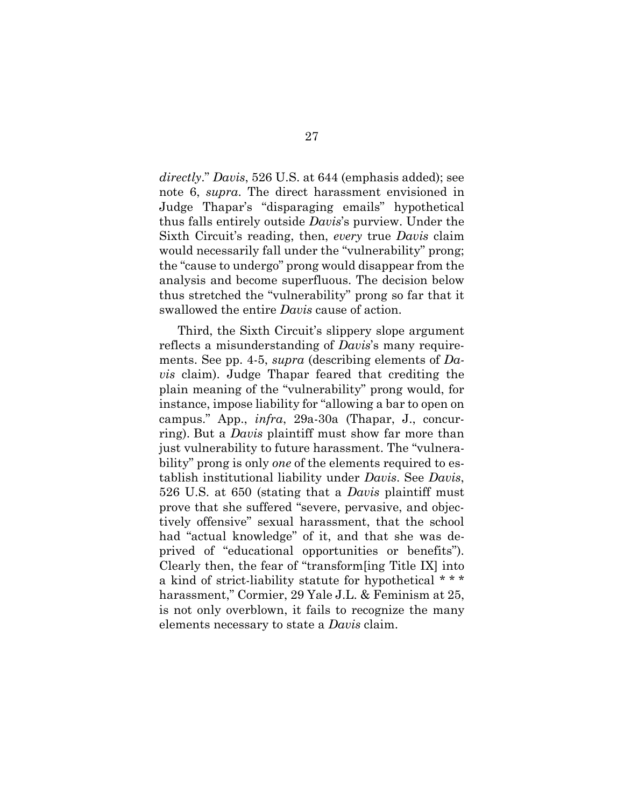*directly*." *Davis*, 526 U.S. at 644 (emphasis added); see note 6, *supra*. The direct harassment envisioned in Judge Thapar's "disparaging emails" hypothetical thus falls entirely outside *Davis*'s purview. Under the Sixth Circuit's reading, then, *every* true *Davis* claim would necessarily fall under the "vulnerability" prong; the "cause to undergo" prong would disappear from the analysis and become superfluous. The decision below thus stretched the "vulnerability" prong so far that it swallowed the entire *Davis* cause of action.

Third, the Sixth Circuit's slippery slope argument reflects a misunderstanding of *Davis*'s many requirements. See pp. 4-5, *supra* (describing elements of *Davis* claim). Judge Thapar feared that crediting the plain meaning of the "vulnerability" prong would, for instance, impose liability for "allowing a bar to open on campus." App., *infra*, 29a-30a (Thapar, J., concurring). But a *Davis* plaintiff must show far more than just vulnerability to future harassment. The "vulnerability" prong is only *one* of the elements required to establish institutional liability under *Davis*. See *Davis*, 526 U.S. at 650 (stating that a *Davis* plaintiff must prove that she suffered "severe, pervasive, and objectively offensive" sexual harassment, that the school had "actual knowledge" of it, and that she was deprived of "educational opportunities or benefits"). Clearly then, the fear of "transform[ing Title IX] into a kind of strict-liability statute for hypothetical \* \* \* harassment," Cormier, 29 Yale J.L. & Feminism at 25, is not only overblown, it fails to recognize the many elements necessary to state a *Davis* claim.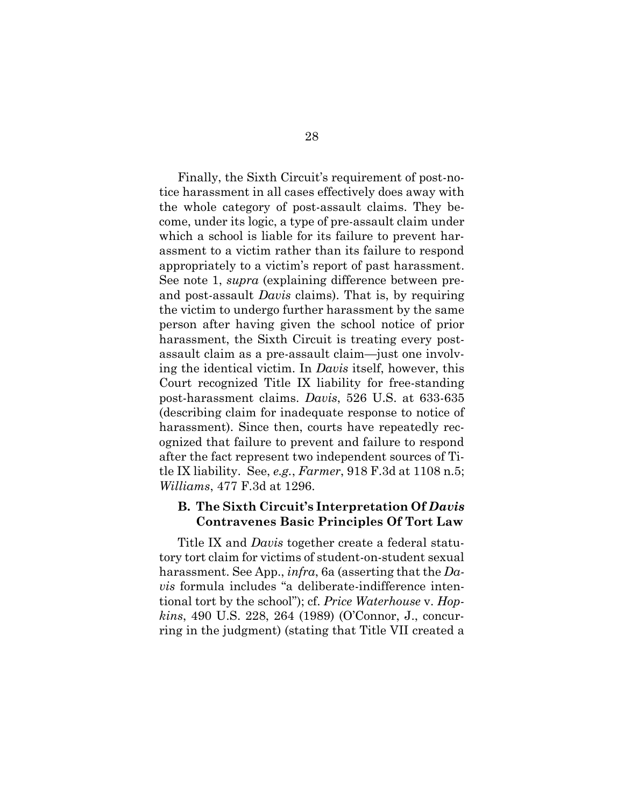Finally, the Sixth Circuit's requirement of post-notice harassment in all cases effectively does away with the whole category of post-assault claims. They become, under its logic, a type of pre-assault claim under which a school is liable for its failure to prevent harassment to a victim rather than its failure to respond appropriately to a victim's report of past harassment. See note 1, *supra* (explaining difference between preand post-assault *Davis* claims). That is, by requiring the victim to undergo further harassment by the same person after having given the school notice of prior harassment, the Sixth Circuit is treating every postassault claim as a pre-assault claim—just one involving the identical victim. In *Davis* itself, however, this Court recognized Title IX liability for free-standing post-harassment claims. *Davis*, 526 U.S. at 633-635 (describing claim for inadequate response to notice of harassment). Since then, courts have repeatedly recognized that failure to prevent and failure to respond after the fact represent two independent sources of Title IX liability. See, *e.g.*, *Farmer*, 918 F.3d at 1108 n.5; *Williams*, 477 F.3d at 1296.

### **B. The Sixth Circuit's Interpretation Of** *Davis* **Contravenes Basic Principles Of Tort Law**

Title IX and *Davis* together create a federal statutory tort claim for victims of student-on-student sexual harassment. See App., *infra*, 6a (asserting that the *Davis* formula includes "a deliberate-indifference intentional tort by the school"); cf. *Price Waterhouse* v. *Hopkins*, 490 U.S. 228, 264 (1989) (O'Connor, J., concurring in the judgment) (stating that Title VII created a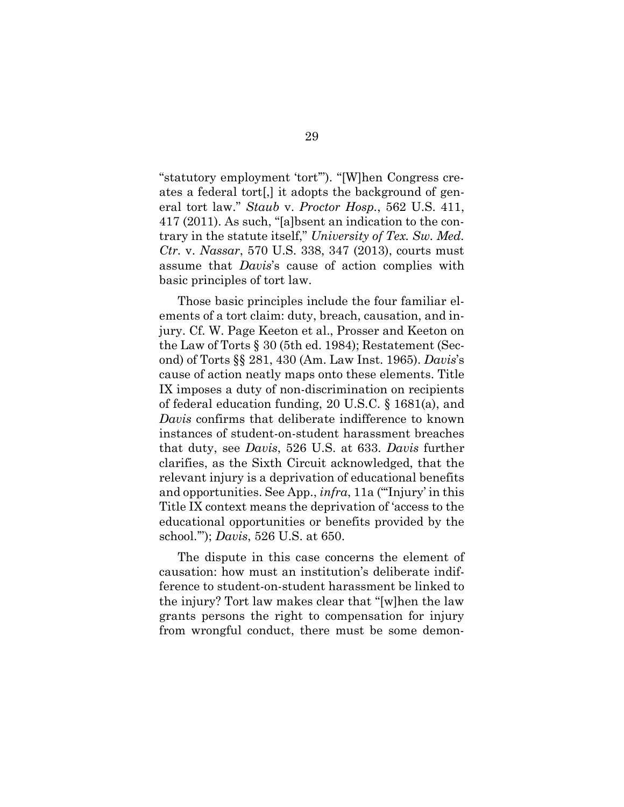"statutory employment 'tort'"). "[W]hen Congress creates a federal tort[,] it adopts the background of general tort law." *Staub* v. *Proctor Hosp.*, 562 U.S. 411, 417 (2011). As such, "[a]bsent an indication to the contrary in the statute itself," *University of Tex. Sw. Med. Ctr.* v. *Nassar*, 570 U.S. 338, 347 (2013), courts must assume that *Davis*'s cause of action complies with basic principles of tort law.

Those basic principles include the four familiar elements of a tort claim: duty, breach, causation, and injury. Cf. W. Page Keeton et al., Prosser and Keeton on the Law of Torts § 30 (5th ed. 1984); Restatement (Second) of Torts §§ 281, 430 (Am. Law Inst. 1965). *Davis*'s cause of action neatly maps onto these elements. Title IX imposes a duty of non-discrimination on recipients of federal education funding, 20 U.S.C. § 1681(a), and *Davis* confirms that deliberate indifference to known instances of student-on-student harassment breaches that duty, see *Davis*, 526 U.S. at 633. *Davis* further clarifies, as the Sixth Circuit acknowledged, that the relevant injury is a deprivation of educational benefits and opportunities. See App., *infra*, 11a ("'Injury' in this Title IX context means the deprivation of 'access to the educational opportunities or benefits provided by the school.'"); *Davis*, 526 U.S. at 650.

The dispute in this case concerns the element of causation: how must an institution's deliberate indifference to student-on-student harassment be linked to the injury? Tort law makes clear that "[w]hen the law grants persons the right to compensation for injury from wrongful conduct, there must be some demon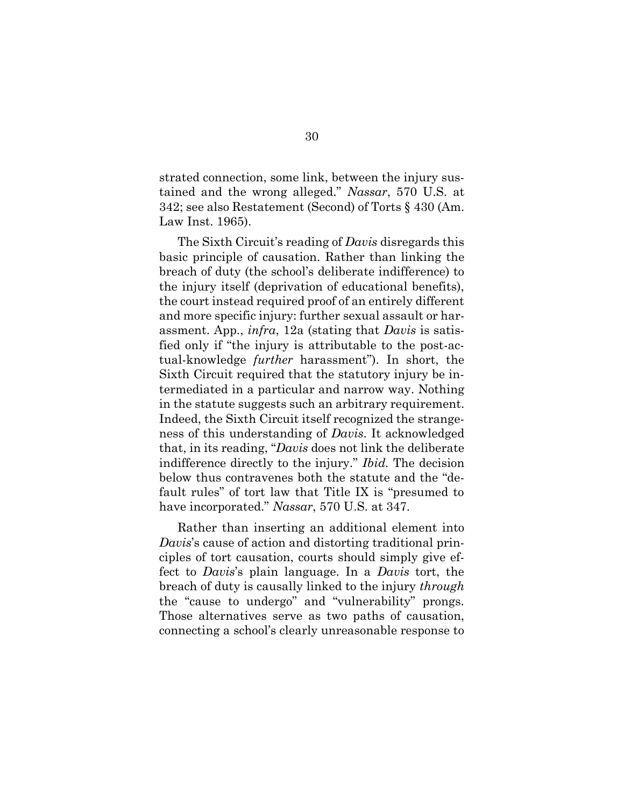strated connection, some link, between the injury sustained and the wrong alleged." *Nassar*, 570 U.S. at 342; see also Restatement (Second) of Torts § 430 (Am. Law Inst. 1965).

The Sixth Circuit's reading of *Davis* disregards this basic principle of causation. Rather than linking the breach of duty (the school's deliberate indifference) to the injury itself (deprivation of educational benefits), the court instead required proof of an entirely different and more specific injury: further sexual assault or harassment. App., *infra*, 12a (stating that *Davis* is satisfied only if "the injury is attributable to the post-actual-knowledge *further* harassment"). In short, the Sixth Circuit required that the statutory injury be intermediated in a particular and narrow way. Nothing in the statute suggests such an arbitrary requirement. Indeed, the Sixth Circuit itself recognized the strangeness of this understanding of *Davis*. It acknowledged that, in its reading, "*Davis* does not link the deliberate indifference directly to the injury." *Ibid.* The decision below thus contravenes both the statute and the "default rules" of tort law that Title IX is "presumed to have incorporated." *Nassar*, 570 U.S. at 347.

Rather than inserting an additional element into *Davis*'s cause of action and distorting traditional principles of tort causation, courts should simply give effect to *Davis*'s plain language. In a *Davis* tort, the breach of duty is causally linked to the injury *through* the "cause to undergo" and "vulnerability" prongs. Those alternatives serve as two paths of causation, connecting a school's clearly unreasonable response to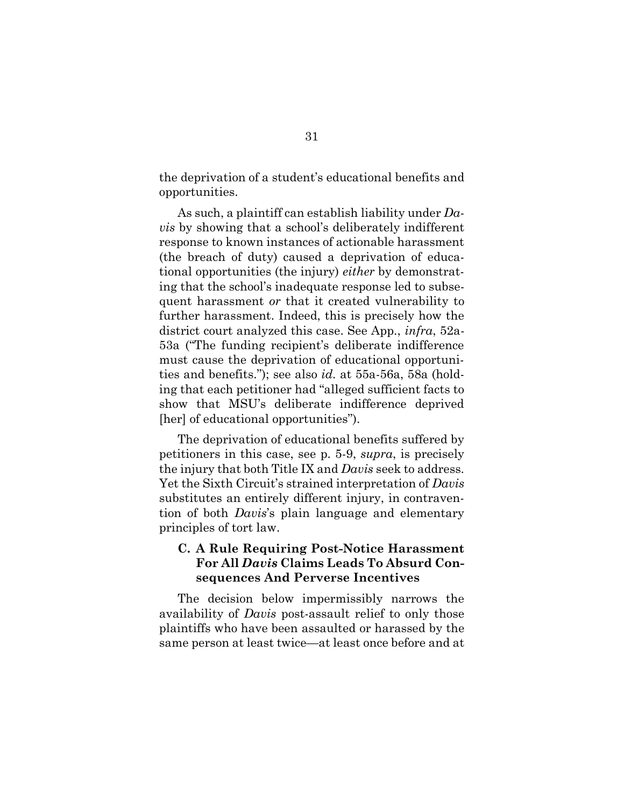the deprivation of a student's educational benefits and opportunities.

As such, a plaintiff can establish liability under *Davis* by showing that a school's deliberately indifferent response to known instances of actionable harassment (the breach of duty) caused a deprivation of educational opportunities (the injury) *either* by demonstrating that the school's inadequate response led to subsequent harassment *or* that it created vulnerability to further harassment. Indeed, this is precisely how the district court analyzed this case. See App., *infra*, 52a-53a ("The funding recipient's deliberate indifference must cause the deprivation of educational opportunities and benefits."); see also *id.* at 55a-56a, 58a (holding that each petitioner had "alleged sufficient facts to show that MSU's deliberate indifference deprived [her] of educational opportunities".

The deprivation of educational benefits suffered by petitioners in this case, see p. 5-9, *supra*, is precisely the injury that both Title IX and *Davis* seek to address. Yet the Sixth Circuit's strained interpretation of *Davis* substitutes an entirely different injury, in contravention of both *Davis*'s plain language and elementary principles of tort law.

### **C. A Rule Requiring Post-Notice Harassment For All** *Davis* **Claims Leads To Absurd Consequences And Perverse Incentives**

The decision below impermissibly narrows the availability of *Davis* post-assault relief to only those plaintiffs who have been assaulted or harassed by the same person at least twice—at least once before and at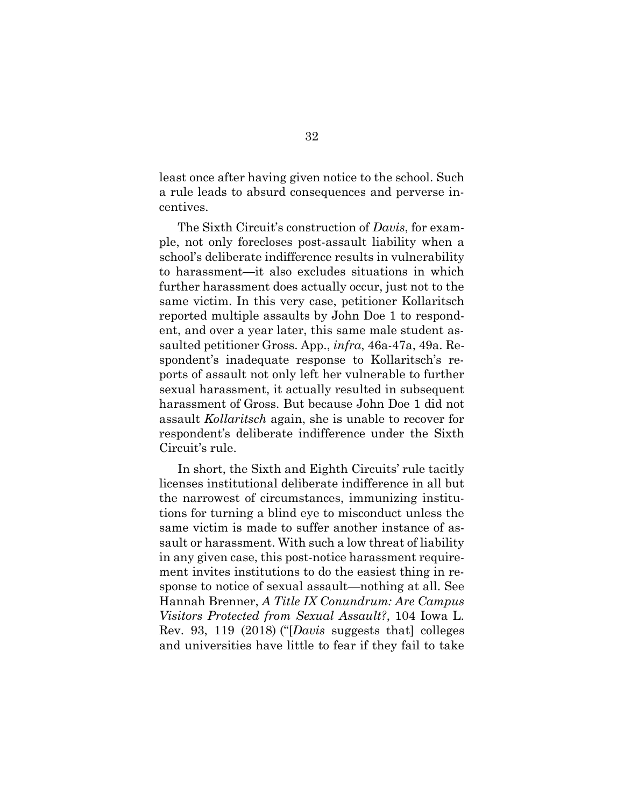least once after having given notice to the school. Such a rule leads to absurd consequences and perverse incentives.

The Sixth Circuit's construction of *Davis*, for example, not only forecloses post-assault liability when a school's deliberate indifference results in vulnerability to harassment—it also excludes situations in which further harassment does actually occur, just not to the same victim. In this very case, petitioner Kollaritsch reported multiple assaults by John Doe 1 to respondent, and over a year later, this same male student assaulted petitioner Gross. App., *infra*, 46a-47a, 49a. Respondent's inadequate response to Kollaritsch's reports of assault not only left her vulnerable to further sexual harassment, it actually resulted in subsequent harassment of Gross. But because John Doe 1 did not assault *Kollaritsch* again, she is unable to recover for respondent's deliberate indifference under the Sixth Circuit's rule.

In short, the Sixth and Eighth Circuits' rule tacitly licenses institutional deliberate indifference in all but the narrowest of circumstances, immunizing institutions for turning a blind eye to misconduct unless the same victim is made to suffer another instance of assault or harassment. With such a low threat of liability in any given case, this post-notice harassment requirement invites institutions to do the easiest thing in response to notice of sexual assault—nothing at all. See Hannah Brenner, *A Title IX Conundrum: Are Campus Visitors Protected from Sexual Assault?*, 104 Iowa L. Rev. 93, 119 (2018) ("[*Davis* suggests that] colleges and universities have little to fear if they fail to take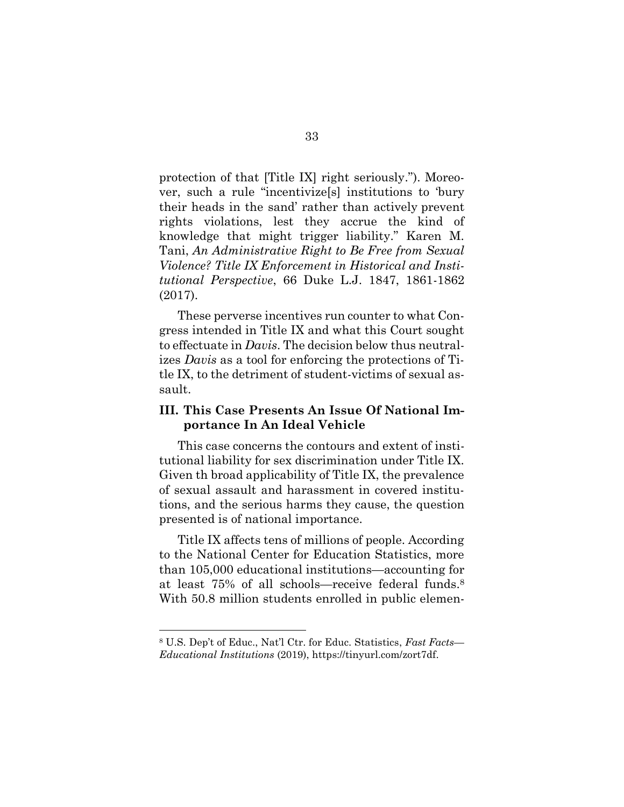protection of that [Title IX] right seriously."). Moreover, such a rule "incentivize[s] institutions to 'bury their heads in the sand' rather than actively prevent rights violations, lest they accrue the kind of knowledge that might trigger liability." Karen M. Tani, *An Administrative Right to Be Free from Sexual Violence? Title IX Enforcement in Historical and Institutional Perspective*, 66 Duke L.J. 1847, 1861-1862 (2017).

These perverse incentives run counter to what Congress intended in Title IX and what this Court sought to effectuate in *Davis*. The decision below thus neutralizes *Davis* as a tool for enforcing the protections of Title IX, to the detriment of student-victims of sexual assault.

### **III. This Case Presents An Issue Of National Importance In An Ideal Vehicle**

This case concerns the contours and extent of institutional liability for sex discrimination under Title IX. Given th broad applicability of Title IX, the prevalence of sexual assault and harassment in covered institutions, and the serious harms they cause, the question presented is of national importance.

Title IX affects tens of millions of people. According to the National Center for Education Statistics, more than 105,000 educational institutions—accounting for at least 75% of all schools—receive federal funds. 8 With 50.8 million students enrolled in public elemen-

<sup>8</sup> U.S. Dep't of Educ., Nat'l Ctr. for Educ. Statistics, *Fast Facts— Educational Institutions* (2019), https://tinyurl.com/zort7df.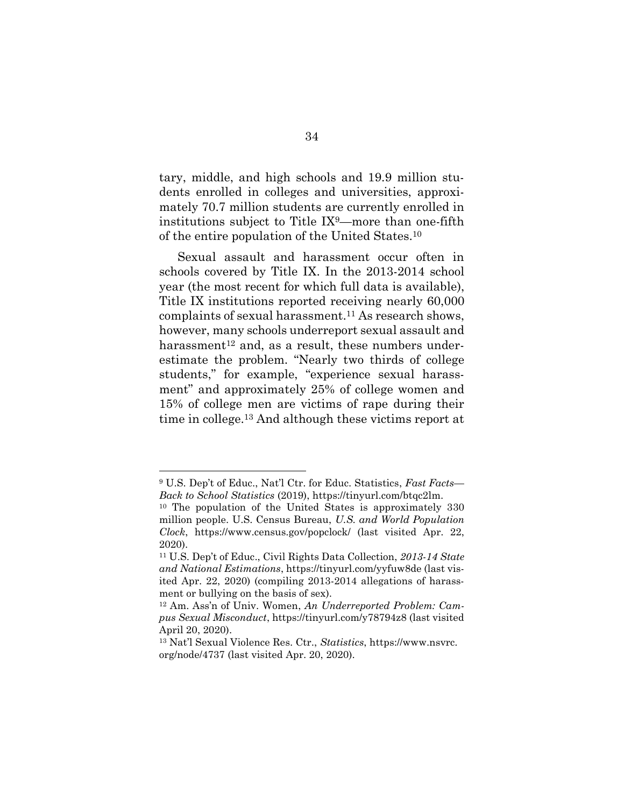tary, middle, and high schools and 19.9 million students enrolled in colleges and universities, approximately 70.7 million students are currently enrolled in institutions subject to Title IX9—more than one-fifth of the entire population of the United States.<sup>10</sup>

Sexual assault and harassment occur often in schools covered by Title IX. In the 2013-2014 school year (the most recent for which full data is available), Title IX institutions reported receiving nearly 60,000 complaints of sexual harassment. <sup>11</sup> As research shows, however, many schools underreport sexual assault and harassment<sup>12</sup> and, as a result, these numbers underestimate the problem. "Nearly two thirds of college students," for example, "experience sexual harassment" and approximately 25% of college women and 15% of college men are victims of rape during their time in college.<sup>13</sup> And although these victims report at

<sup>9</sup> U.S. Dep't of Educ., Nat'l Ctr. for Educ. Statistics, *Fast Facts— Back to School Statistics* (2019), https://tinyurl.com/btqc2lm.

<sup>10</sup> The population of the United States is approximately 330 million people. U.S. Census Bureau, *U.S. and World Population Clock*, https://www.census.gov/popclock/ (last visited Apr. 22, 2020).

<sup>11</sup> U.S. Dep't of Educ., Civil Rights Data Collection, *2013-14 State and National Estimations*, https://tinyurl.com/yyfuw8de (last visited Apr. 22, 2020) (compiling 2013-2014 allegations of harassment or bullying on the basis of sex).

<sup>12</sup> Am. Ass'n of Univ. Women, *An Underreported Problem: Campus Sexual Misconduct*, https://tinyurl.com/y78794z8 (last visited April 20, 2020).

<sup>13</sup> Nat'l Sexual Violence Res. Ctr., *Statistics*, https://www.nsvrc. org/node/4737 (last visited Apr. 20, 2020).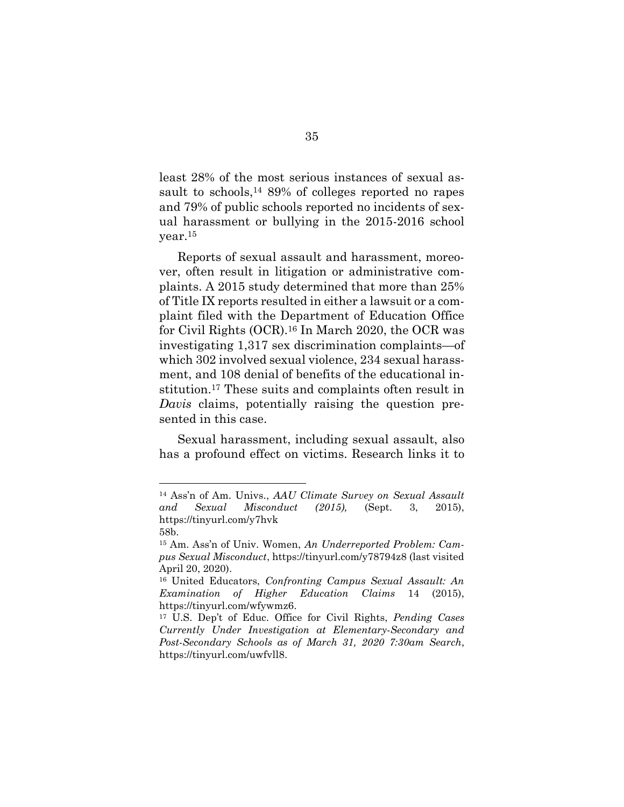least 28% of the most serious instances of sexual assault to schools, <sup>14</sup> 89% of colleges reported no rapes and 79% of public schools reported no incidents of sexual harassment or bullying in the 2015-2016 school year.<sup>15</sup>

Reports of sexual assault and harassment, moreover, often result in litigation or administrative complaints. A 2015 study determined that more than 25% of Title IX reports resulted in either a lawsuit or a complaint filed with the Department of Education Office for Civil Rights (OCR). <sup>16</sup> In March 2020, the OCR was investigating 1,317 sex discrimination complaints—of which 302 involved sexual violence, 234 sexual harassment, and 108 denial of benefits of the educational institution.<sup>17</sup> These suits and complaints often result in *Davis* claims, potentially raising the question presented in this case.

Sexual harassment, including sexual assault, also has a profound effect on victims. Research links it to

<sup>14</sup> Ass'n of Am. Univs., *AAU Climate Survey on Sexual Assault and Sexual Misconduct (2015),* (Sept. 3, 2015), https://tinyurl.com/y7hvk 58b.

<sup>15</sup> Am. Ass'n of Univ. Women, *An Underreported Problem: Campus Sexual Misconduct*, https://tinyurl.com/y78794z8 (last visited April 20, 2020).

<sup>16</sup> United Educators, *Confronting Campus Sexual Assault: An Examination of Higher Education Claims* 14 (2015), https://tinyurl.com/wfywmz6.

<sup>17</sup> U.S. Dep't of Educ. Office for Civil Rights, *Pending Cases Currently Under Investigation at Elementary-Secondary and Post-Secondary Schools as of March 31, 2020 7:30am Search*, https://tinyurl.com/uwfvll8.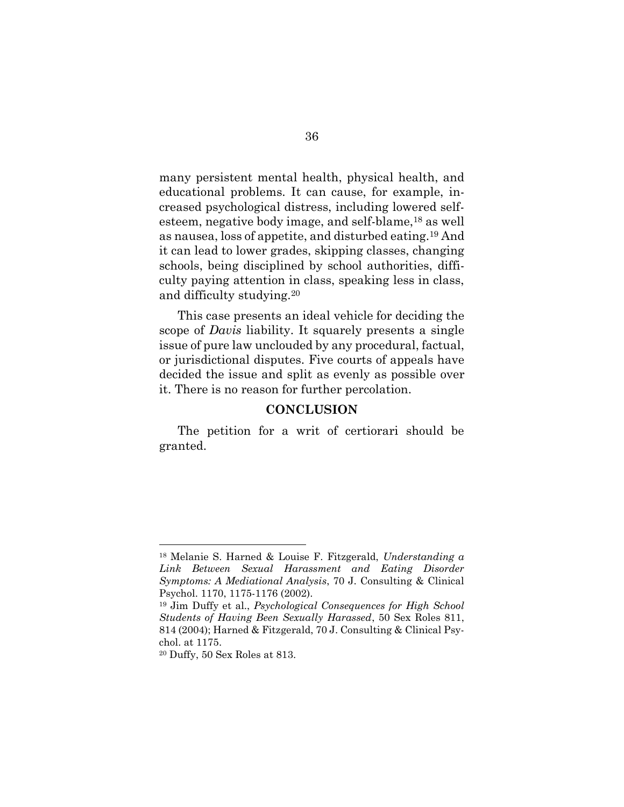many persistent mental health, physical health, and educational problems. It can cause, for example, increased psychological distress, including lowered selfesteem, negative body image, and self-blame,<sup>18</sup> as well as nausea, loss of appetite, and disturbed eating.<sup>19</sup> And it can lead to lower grades, skipping classes, changing schools, being disciplined by school authorities, difficulty paying attention in class, speaking less in class, and difficulty studying.<sup>20</sup>

This case presents an ideal vehicle for deciding the scope of *Davis* liability. It squarely presents a single issue of pure law unclouded by any procedural, factual, or jurisdictional disputes. Five courts of appeals have decided the issue and split as evenly as possible over it. There is no reason for further percolation.

### **CONCLUSION**

The petition for a writ of certiorari should be granted.

<sup>18</sup> Melanie S. Harned & Louise F. Fitzgerald, *Understanding a Link Between Sexual Harassment and Eating Disorder Symptoms: A Mediational Analysis*, 70 J. Consulting & Clinical Psychol. 1170, 1175-1176 (2002).

<sup>19</sup> Jim Duffy et al., *Psychological Consequences for High School Students of Having Been Sexually Harassed*, 50 Sex Roles 811, 814 (2004); Harned & Fitzgerald, 70 J. Consulting & Clinical Psychol. at 1175.

<sup>20</sup> Duffy, 50 Sex Roles at 813.